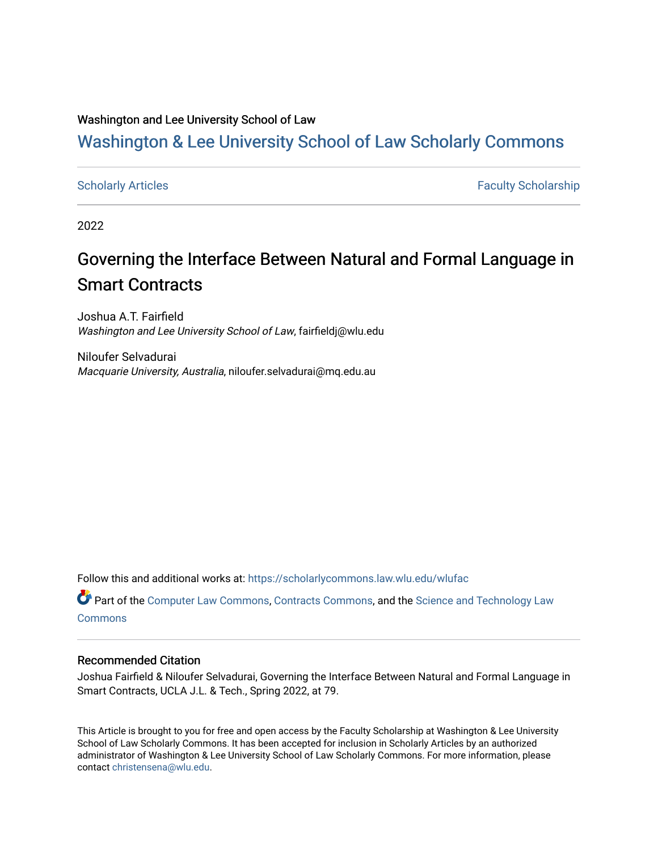#### Washington and Lee University School of Law

## [Washington & Lee University School of Law Scholarly Commons](https://scholarlycommons.law.wlu.edu/)

[Scholarly Articles](https://scholarlycommons.law.wlu.edu/wlufac) **Faculty Scholarship** Faculty Scholarship

2022

## Governing the Interface Between Natural and Formal Language in Smart Contracts

Joshua A.T. Fairfield Washington and Lee University School of Law, fairfieldj@wlu.edu

Niloufer Selvadurai Macquarie University, Australia, niloufer.selvadurai@mq.edu.au

Follow this and additional works at: [https://scholarlycommons.law.wlu.edu/wlufac](https://scholarlycommons.law.wlu.edu/wlufac?utm_source=scholarlycommons.law.wlu.edu%2Fwlufac%2F710&utm_medium=PDF&utm_campaign=PDFCoverPages)

Part of the [Computer Law Commons,](http://network.bepress.com/hgg/discipline/837?utm_source=scholarlycommons.law.wlu.edu%2Fwlufac%2F710&utm_medium=PDF&utm_campaign=PDFCoverPages) [Contracts Commons](http://network.bepress.com/hgg/discipline/591?utm_source=scholarlycommons.law.wlu.edu%2Fwlufac%2F710&utm_medium=PDF&utm_campaign=PDFCoverPages), and the [Science and Technology Law](http://network.bepress.com/hgg/discipline/875?utm_source=scholarlycommons.law.wlu.edu%2Fwlufac%2F710&utm_medium=PDF&utm_campaign=PDFCoverPages)  [Commons](http://network.bepress.com/hgg/discipline/875?utm_source=scholarlycommons.law.wlu.edu%2Fwlufac%2F710&utm_medium=PDF&utm_campaign=PDFCoverPages)

#### Recommended Citation

Joshua Fairfield & Niloufer Selvadurai, Governing the Interface Between Natural and Formal Language in Smart Contracts, UCLA J.L. & Tech., Spring 2022, at 79.

This Article is brought to you for free and open access by the Faculty Scholarship at Washington & Lee University School of Law Scholarly Commons. It has been accepted for inclusion in Scholarly Articles by an authorized administrator of Washington & Lee University School of Law Scholarly Commons. For more information, please contact [christensena@wlu.edu](mailto:christensena@wlu.edu).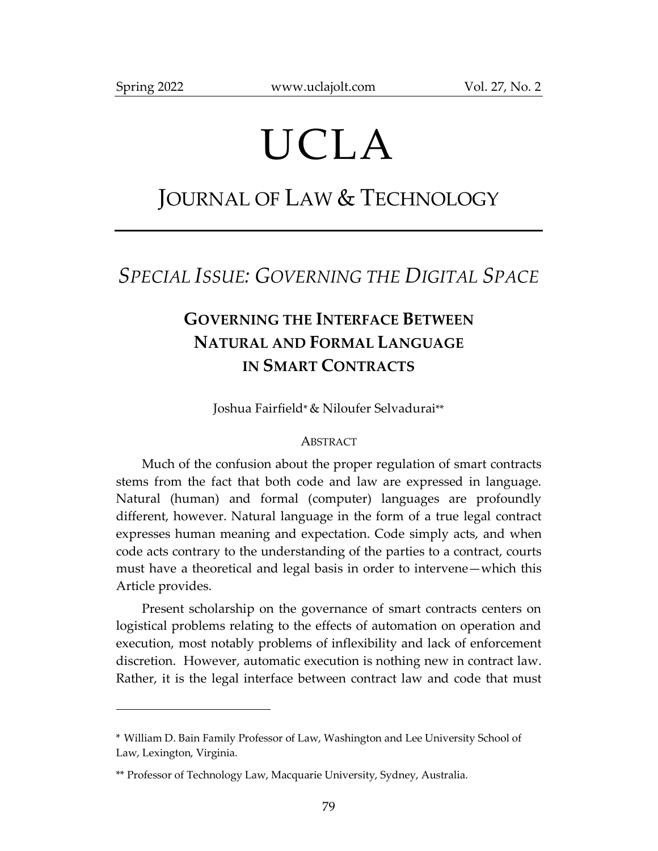$\overline{a}$ 

# UCLA

## JOURNAL OF LAW & TECHNOLOGY

## *SPECIAL ISSUE: GOVERNING THE DIGITAL SPACE*

## **GOVERNING THE INTERFACE BETWEEN NATURAL AND FORMAL LANGUAGE IN SMART CONTRACTS**

Joshua Fairfield\*& Niloufer Selvadurai\*\*

#### ABSTRACT

Much of the confusion about the proper regulation of smart contracts stems from the fact that both code and law are expressed in language. Natural (human) and formal (computer) languages are profoundly different, however. Natural language in the form of a true legal contract expresses human meaning and expectation. Code simply acts, and when code acts contrary to the understanding of the parties to a contract, courts must have a theoretical and legal basis in order to intervene—which this Article provides.

Present scholarship on the governance of smart contracts centers on logistical problems relating to the effects of automation on operation and execution, most notably problems of inflexibility and lack of enforcement discretion. However, automatic execution is nothing new in contract law. Rather, it is the legal interface between contract law and code that must

<sup>\*</sup> William D. Bain Family Professor of Law, Washington and Lee University School of Law, Lexington, Virginia.

<sup>\*\*</sup> Professor of Technology Law, Macquarie University, Sydney, Australia.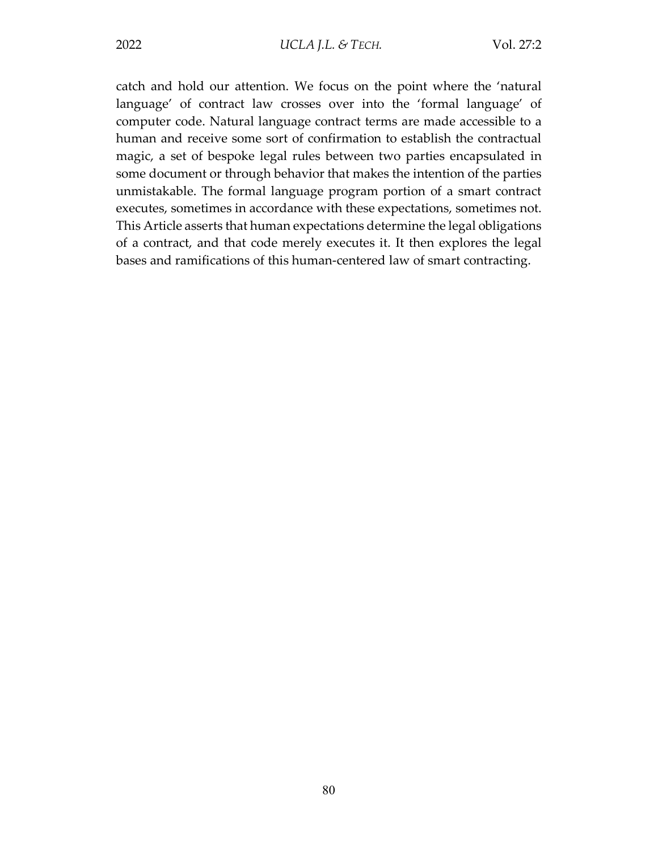catch and hold our attention. We focus on the point where the 'natural language' of contract law crosses over into the 'formal language' of computer code. Natural language contract terms are made accessible to a human and receive some sort of confirmation to establish the contractual magic, a set of bespoke legal rules between two parties encapsulated in some document or through behavior that makes the intention of the parties unmistakable. The formal language program portion of a smart contract executes, sometimes in accordance with these expectations, sometimes not. This Article asserts that human expectations determine the legal obligations of a contract, and that code merely executes it. It then explores the legal bases and ramifications of this human-centered law of smart contracting.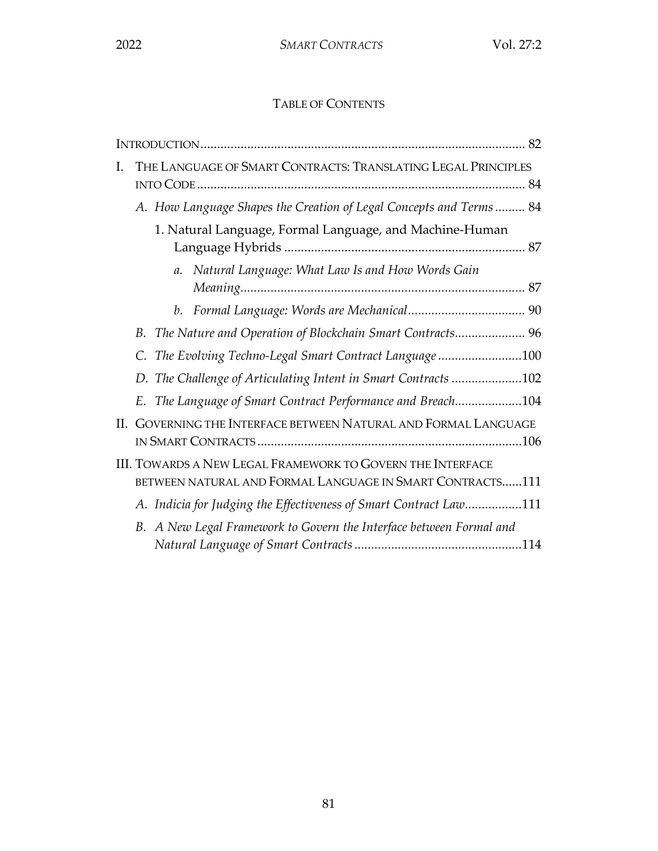### TABLE OF CONTENTS

| $\mathbf{I}$ . | THE LANGUAGE OF SMART CONTRACTS: TRANSLATING LEGAL PRINCIPLES                                                           |                 |                                                                     |  |
|----------------|-------------------------------------------------------------------------------------------------------------------------|-----------------|---------------------------------------------------------------------|--|
|                | A. How Language Shapes the Creation of Legal Concepts and Terms 84                                                      |                 |                                                                     |  |
|                | 1. Natural Language, Formal Language, and Machine-Human                                                                 |                 |                                                                     |  |
|                |                                                                                                                         | $\mathfrak{a}.$ | Natural Language: What Law Is and How Words Gain                    |  |
|                |                                                                                                                         |                 |                                                                     |  |
|                | B.                                                                                                                      |                 | The Nature and Operation of Blockchain Smart Contracts 96           |  |
|                | The Evolving Techno-Legal Smart Contract Language 100                                                                   |                 |                                                                     |  |
|                | D. The Challenge of Articulating Intent in Smart Contracts 102                                                          |                 |                                                                     |  |
|                | The Language of Smart Contract Performance and Breach104<br>E.                                                          |                 |                                                                     |  |
| II.            | GOVERNING THE INTERFACE BETWEEN NATURAL AND FORMAL LANGUAGE                                                             |                 |                                                                     |  |
|                | III. TOWARDS A NEW LEGAL FRAMEWORK TO GOVERN THE INTERFACE<br>BETWEEN NATURAL AND FORMAL LANGUAGE IN SMART CONTRACTS111 |                 |                                                                     |  |
|                | A. Indicia for Judging the Effectiveness of Smart Contract Law111                                                       |                 |                                                                     |  |
|                |                                                                                                                         |                 | B. A New Legal Framework to Govern the Interface between Formal and |  |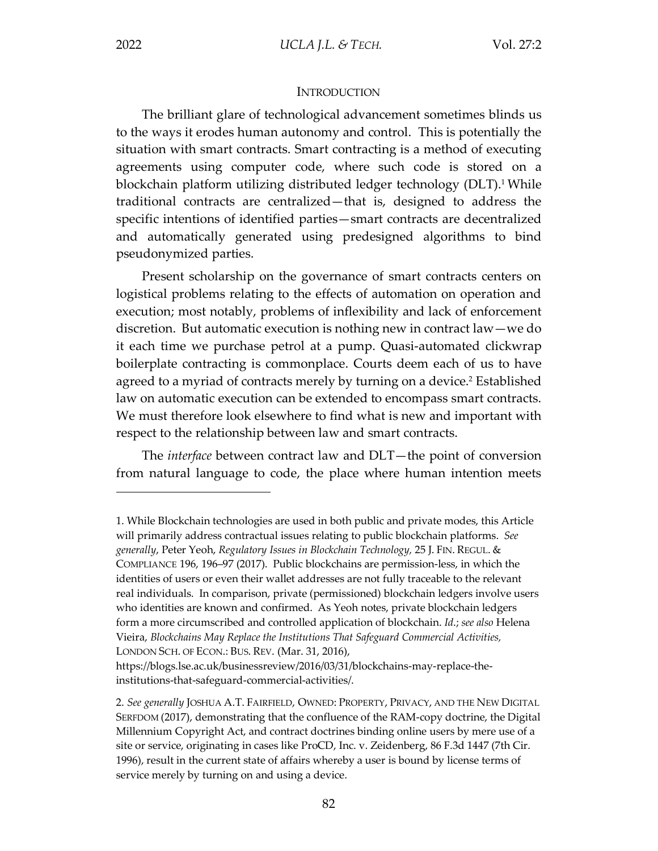#### **INTRODUCTION**

The brilliant glare of technological advancement sometimes blinds us to the ways it erodes human autonomy and control. This is potentially the situation with smart contracts. Smart contracting is a method of executing agreements using computer code, where such code is stored on a blockchain platform utilizing distributed ledger technology (DLT).<sup>1</sup> While traditional contracts are centralized—that is, designed to address the specific intentions of identified parties—smart contracts are decentralized and automatically generated using predesigned algorithms to bind pseudonymized parties.

Present scholarship on the governance of smart contracts centers on logistical problems relating to the effects of automation on operation and execution; most notably, problems of inflexibility and lack of enforcement discretion. But automatic execution is nothing new in contract law—we do it each time we purchase petrol at a pump. Quasi-automated clickwrap boilerplate contracting is commonplace. Courts deem each of us to have agreed to a myriad of contracts merely by turning on a device.<sup>2</sup> Established law on automatic execution can be extended to encompass smart contracts. We must therefore look elsewhere to find what is new and important with respect to the relationship between law and smart contracts.

The *interface* between contract law and DLT—the point of conversion from natural language to code, the place where human intention meets

<sup>1.</sup> While Blockchain technologies are used in both public and private modes, this Article will primarily address contractual issues relating to public blockchain platforms. *See generally*, Peter Yeoh, *Regulatory Issues in Blockchain Technology,* 25 J. FIN. REGUL. & COMPLIANCE 196, 196–97 (2017). Public blockchains are permission-less, in which the identities of users or even their wallet addresses are not fully traceable to the relevant real individuals. In comparison, private (permissioned) blockchain ledgers involve users who identities are known and confirmed. As Yeoh notes, private blockchain ledgers form a more circumscribed and controlled application of blockchain. *Id*.; *see also* Helena Vieira, *Blockchains May Replace the Institutions That Safeguard Commercial Activities,*  LONDON SCH. OF ECON.: BUS. REV. (Mar. 31, 2016),

https://blogs.lse.ac.uk/businessreview/2016/03/31/blockchains-may-replace-theinstitutions-that-safeguard-commercial-activities/.

<sup>2.</sup> *See generally* JOSHUA A.T. FAIRFIELD, OWNED: PROPERTY, PRIVACY, AND THE NEW DIGITAL SERFDOM (2017), demonstrating that the confluence of the RAM-copy doctrine, the Digital Millennium Copyright Act, and contract doctrines binding online users by mere use of a site or service, originating in cases like ProCD, Inc. v. Zeidenberg, 86 F.3d 1447 (7th Cir. 1996), result in the current state of affairs whereby a user is bound by license terms of service merely by turning on and using a device.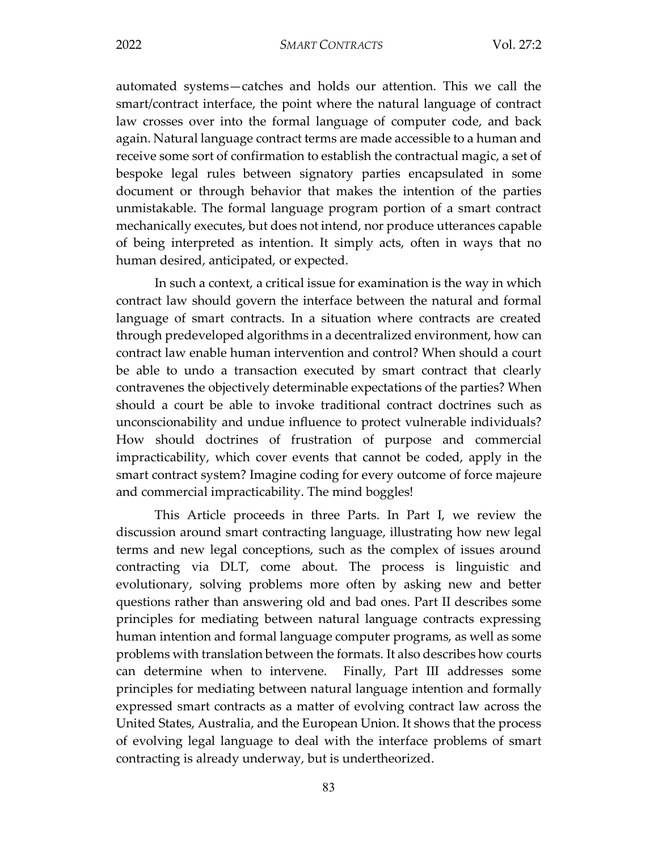automated systems—catches and holds our attention. This we call the smart/contract interface, the point where the natural language of contract law crosses over into the formal language of computer code, and back again. Natural language contract terms are made accessible to a human and receive some sort of confirmation to establish the contractual magic, a set of bespoke legal rules between signatory parties encapsulated in some document or through behavior that makes the intention of the parties unmistakable. The formal language program portion of a smart contract mechanically executes, but does not intend, nor produce utterances capable of being interpreted as intention. It simply acts, often in ways that no human desired, anticipated, or expected.

In such a context, a critical issue for examination is the way in which contract law should govern the interface between the natural and formal language of smart contracts. In a situation where contracts are created through predeveloped algorithms in a decentralized environment, how can contract law enable human intervention and control? When should a court be able to undo a transaction executed by smart contract that clearly contravenes the objectively determinable expectations of the parties? When should a court be able to invoke traditional contract doctrines such as unconscionability and undue influence to protect vulnerable individuals? How should doctrines of frustration of purpose and commercial impracticability, which cover events that cannot be coded, apply in the smart contract system? Imagine coding for every outcome of force majeure and commercial impracticability. The mind boggles!

This Article proceeds in three Parts. In Part I, we review the discussion around smart contracting language, illustrating how new legal terms and new legal conceptions, such as the complex of issues around contracting via DLT, come about. The process is linguistic and evolutionary, solving problems more often by asking new and better questions rather than answering old and bad ones. Part II describes some principles for mediating between natural language contracts expressing human intention and formal language computer programs, as well as some problems with translation between the formats. It also describes how courts can determine when to intervene. Finally, Part III addresses some principles for mediating between natural language intention and formally expressed smart contracts as a matter of evolving contract law across the United States, Australia, and the European Union. It shows that the process of evolving legal language to deal with the interface problems of smart contracting is already underway, but is undertheorized.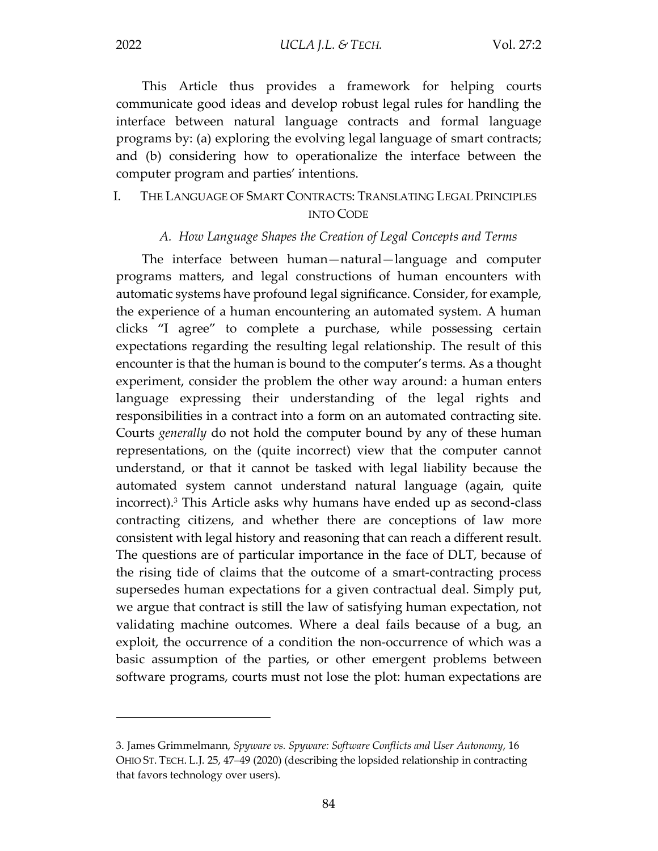This Article thus provides a framework for helping courts communicate good ideas and develop robust legal rules for handling the interface between natural language contracts and formal language programs by: (a) exploring the evolving legal language of smart contracts; and (b) considering how to operationalize the interface between the computer program and parties' intentions.

#### I. THE LANGUAGE OF SMART CONTRACTS: TRANSLATING LEGAL PRINCIPLES INTO CODE

#### *A. How Language Shapes the Creation of Legal Concepts and Terms*

The interface between human—natural—language and computer programs matters, and legal constructions of human encounters with automatic systems have profound legal significance. Consider, for example, the experience of a human encountering an automated system. A human clicks "I agree" to complete a purchase, while possessing certain expectations regarding the resulting legal relationship. The result of this encounter is that the human is bound to the computer's terms. As a thought experiment, consider the problem the other way around: a human enters language expressing their understanding of the legal rights and responsibilities in a contract into a form on an automated contracting site. Courts *generally* do not hold the computer bound by any of these human representations, on the (quite incorrect) view that the computer cannot understand, or that it cannot be tasked with legal liability because the automated system cannot understand natural language (again, quite incorrect).3 This Article asks why humans have ended up as second-class contracting citizens, and whether there are conceptions of law more consistent with legal history and reasoning that can reach a different result. The questions are of particular importance in the face of DLT, because of the rising tide of claims that the outcome of a smart-contracting process supersedes human expectations for a given contractual deal. Simply put, we argue that contract is still the law of satisfying human expectation, not validating machine outcomes. Where a deal fails because of a bug, an exploit, the occurrence of a condition the non-occurrence of which was a basic assumption of the parties, or other emergent problems between software programs, courts must not lose the plot: human expectations are

<sup>3.</sup> James Grimmelmann, *Spyware vs. Spyware: Software Conflicts and User Autonomy*, 16 OHIO ST. TECH. L.J. 25, 47–49 (2020) (describing the lopsided relationship in contracting that favors technology over users).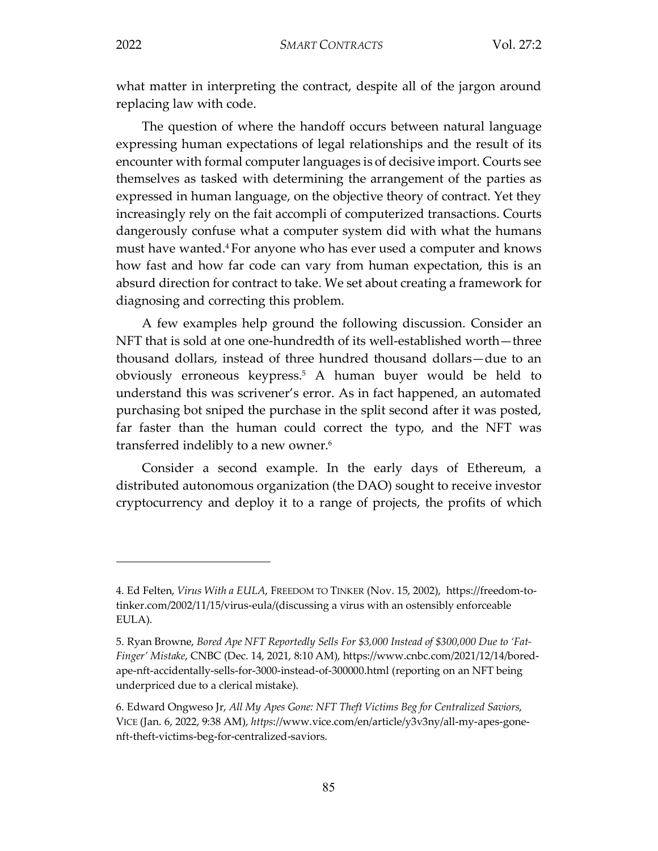what matter in interpreting the contract, despite all of the jargon around replacing law with code.

The question of where the handoff occurs between natural language expressing human expectations of legal relationships and the result of its encounter with formal computer languages is of decisive import. Courts see themselves as tasked with determining the arrangement of the parties as expressed in human language, on the objective theory of contract. Yet they increasingly rely on the fait accompli of computerized transactions. Courts dangerously confuse what a computer system did with what the humans must have wanted.4 For anyone who has ever used a computer and knows how fast and how far code can vary from human expectation, this is an absurd direction for contract to take. We set about creating a framework for diagnosing and correcting this problem.

A few examples help ground the following discussion. Consider an NFT that is sold at one one-hundredth of its well-established worth—three thousand dollars, instead of three hundred thousand dollars—due to an obviously erroneous keypress.5 A human buyer would be held to understand this was scrivener's error. As in fact happened, an automated purchasing bot sniped the purchase in the split second after it was posted, far faster than the human could correct the typo, and the NFT was transferred indelibly to a new owner.<sup>6</sup>

Consider a second example. In the early days of Ethereum, a distributed autonomous organization (the DAO) sought to receive investor cryptocurrency and deploy it to a range of projects, the profits of which

<sup>4.</sup> Ed Felten, *Virus With a EULA*, FREEDOM TO TINKER (Nov. 15, 2002), https://freedom-totinker.com/2002/11/15/virus-eula/(discussing a virus with an ostensibly enforceable EULA).

<sup>5.</sup> Ryan Browne, *Bored Ape NFT Reportedly Sells For \$3,000 Instead of \$300,000 Due to 'Fat-Finger' Mistake*, CNBC (Dec. 14, 2021, 8:10 AM), https://www.cnbc.com/2021/12/14/boredape-nft-accidentally-sells-for-3000-instead-of-300000.html (reporting on an NFT being underpriced due to a clerical mistake).

<sup>6.</sup> Edward Ongweso Jr, *All My Apes Gone: NFT Theft Victims Beg for Centralized Saviors*, VICE (Jan. 6, 2022, 9:38 AM), *https*://www.vice.com/en/article/y3v3ny/all-my-apes-gonenft-theft-victims-beg-for-centralized-saviors.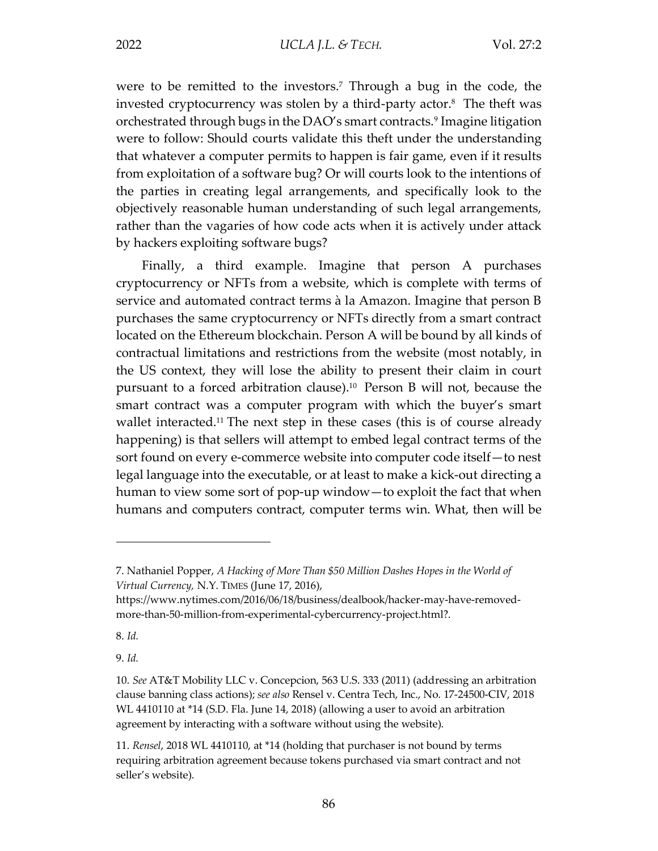were to be remitted to the investors.7 Through a bug in the code, the invested cryptocurrency was stolen by a third-party actor. $8$  The theft was orchestrated through bugs in the DAO's smart contracts.9 Imagine litigation were to follow: Should courts validate this theft under the understanding that whatever a computer permits to happen is fair game, even if it results from exploitation of a software bug? Or will courts look to the intentions of the parties in creating legal arrangements, and specifically look to the objectively reasonable human understanding of such legal arrangements, rather than the vagaries of how code acts when it is actively under attack by hackers exploiting software bugs?

Finally, a third example. Imagine that person A purchases cryptocurrency or NFTs from a website, which is complete with terms of service and automated contract terms à la Amazon. Imagine that person B purchases the same cryptocurrency or NFTs directly from a smart contract located on the Ethereum blockchain. Person A will be bound by all kinds of contractual limitations and restrictions from the website (most notably, in the US context, they will lose the ability to present their claim in court pursuant to a forced arbitration clause).<sup>10</sup> Person B will not, because the smart contract was a computer program with which the buyer's smart wallet interacted.<sup>11</sup> The next step in these cases (this is of course already happening) is that sellers will attempt to embed legal contract terms of the sort found on every e-commerce website into computer code itself—to nest legal language into the executable, or at least to make a kick-out directing a human to view some sort of pop-up window—to exploit the fact that when humans and computers contract, computer terms win. What, then will be

 $\overline{a}$ 

9. *Id.*

<sup>7.</sup> Nathaniel Popper, *A Hacking of More Than \$50 Million Dashes Hopes in the World of Virtual Currency,* N.Y. TIMES (June 17, 2016),

https://www.nytimes.com/2016/06/18/business/dealbook/hacker-may-have-removedmore-than-50-million-from-experimental-cybercurrency-project.html?.

<sup>8.</sup> *Id.*

<sup>10.</sup> *See* AT&T Mobility LLC v. Concepcion, 563 U.S. 333 (2011) (addressing an arbitration clause banning class actions); *see also* Rensel v. Centra Tech, Inc., No. 17-24500-CIV, 2018 WL 4410110 at \*14 (S.D. Fla. June 14, 2018) (allowing a user to avoid an arbitration agreement by interacting with a software without using the website).

<sup>11.</sup> *Rensel*, 2018 WL 4410110, at \*14 (holding that purchaser is not bound by terms requiring arbitration agreement because tokens purchased via smart contract and not seller's website).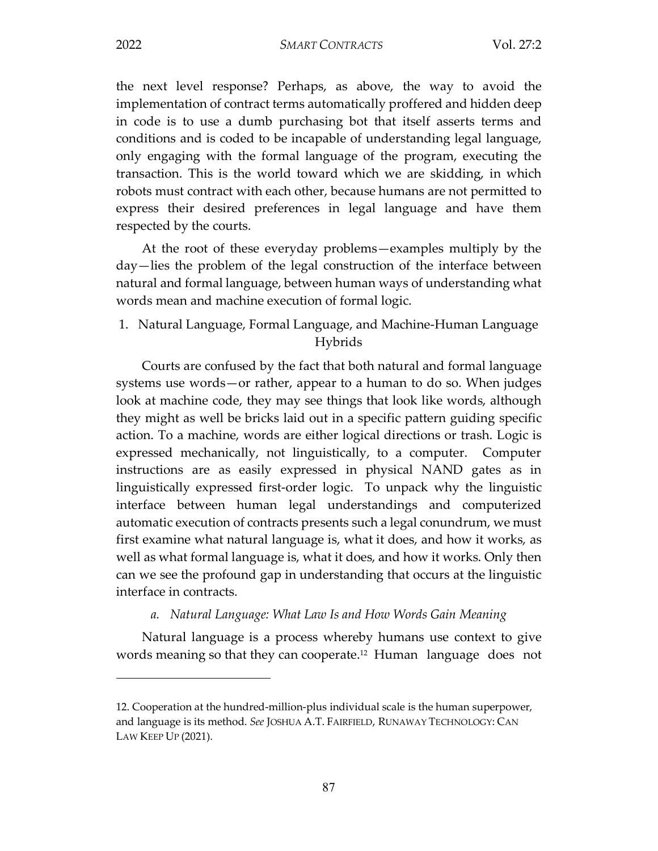2022 *SMART CONTRACTS* Vol. 27:2

the next level response? Perhaps, as above, the way to avoid the implementation of contract terms automatically proffered and hidden deep in code is to use a dumb purchasing bot that itself asserts terms and conditions and is coded to be incapable of understanding legal language, only engaging with the formal language of the program, executing the transaction. This is the world toward which we are skidding, in which robots must contract with each other, because humans are not permitted to express their desired preferences in legal language and have them respected by the courts.

At the root of these everyday problems—examples multiply by the day—lies the problem of the legal construction of the interface between natural and formal language, between human ways of understanding what words mean and machine execution of formal logic.

1. Natural Language, Formal Language, and Machine-Human Language Hybrids

Courts are confused by the fact that both natural and formal language systems use words—or rather, appear to a human to do so. When judges look at machine code, they may see things that look like words, although they might as well be bricks laid out in a specific pattern guiding specific action. To a machine, words are either logical directions or trash. Logic is expressed mechanically, not linguistically, to a computer. Computer instructions are as easily expressed in physical NAND gates as in linguistically expressed first-order logic. To unpack why the linguistic interface between human legal understandings and computerized automatic execution of contracts presents such a legal conundrum, we must first examine what natural language is, what it does, and how it works, as well as what formal language is, what it does, and how it works. Only then can we see the profound gap in understanding that occurs at the linguistic interface in contracts.

#### *a. Natural Language: What Law Is and How Words Gain Meaning*

Natural language is a process whereby humans use context to give words meaning so that they can cooperate.<sup>12</sup> Human language does not

<sup>12.</sup> Cooperation at the hundred-million-plus individual scale is the human superpower, and language is its method. *See* JOSHUA A.T. FAIRFIELD, RUNAWAY TECHNOLOGY: CAN LAW KEEP UP (2021).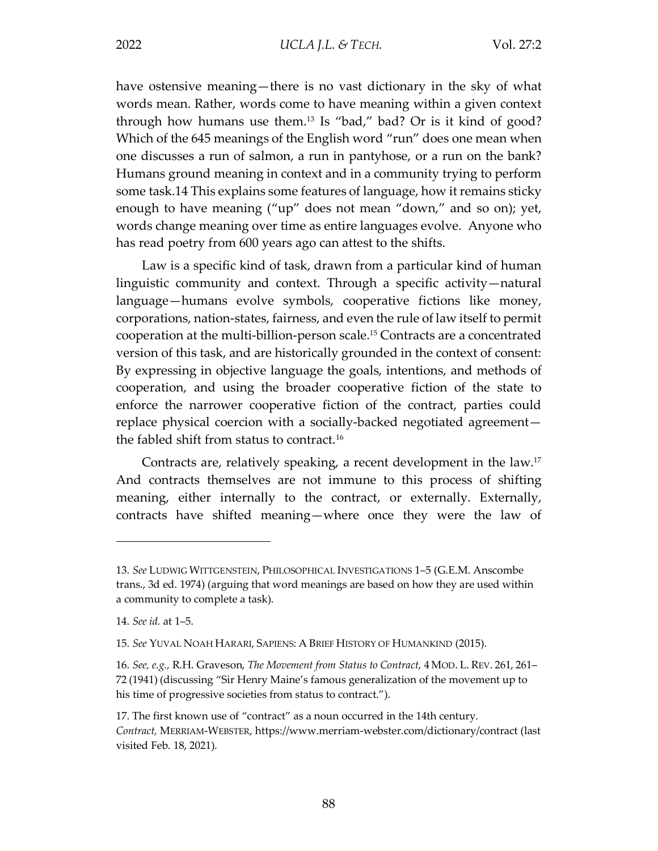have ostensive meaning—there is no vast dictionary in the sky of what words mean. Rather, words come to have meaning within a given context through how humans use them.<sup>13</sup> Is "bad," bad? Or is it kind of good? Which of the 645 meanings of the English word "run" does one mean when one discusses a run of salmon, a run in pantyhose, or a run on the bank? Humans ground meaning in context and in a community trying to perform some task.14 This explains some features of language, how it remains sticky enough to have meaning ("up" does not mean "down," and so on); yet, words change meaning over time as entire languages evolve. Anyone who has read poetry from 600 years ago can attest to the shifts.

Law is a specific kind of task, drawn from a particular kind of human linguistic community and context. Through a specific activity—natural language—humans evolve symbols, cooperative fictions like money, corporations, nation-states, fairness, and even the rule of law itself to permit cooperation at the multi-billion-person scale.15 Contracts are a concentrated version of this task, and are historically grounded in the context of consent: By expressing in objective language the goals, intentions, and methods of cooperation, and using the broader cooperative fiction of the state to enforce the narrower cooperative fiction of the contract, parties could replace physical coercion with a socially-backed negotiated agreement the fabled shift from status to contract.16

Contracts are, relatively speaking, a recent development in the law.17 And contracts themselves are not immune to this process of shifting meaning, either internally to the contract, or externally. Externally, contracts have shifted meaning—where once they were the law of

<sup>13.</sup> *See* LUDWIG WITTGENSTEIN, PHILOSOPHICAL INVESTIGATIONS 1–5 (G.E.M. Anscombe trans., 3d ed. 1974) (arguing that word meanings are based on how they are used within a community to complete a task).

<sup>14.</sup> *See id.* at 1–5.

<sup>15.</sup> *See* YUVAL NOAH HARARI, SAPIENS: A BRIEF HISTORY OF HUMANKIND (2015).

<sup>16.</sup> *See, e.g.,* R.H. Graveson, *The Movement from Status to Contract*, 4 MOD. L. REV. 261, 261– 72 (1941) (discussing "Sir Henry Maine's famous generalization of the movement up to his time of progressive societies from status to contract.").

<sup>17.</sup> The first known use of "contract" as a noun occurred in the 14th century. *Contract,* MERRIAM-WEBSTER, https://www.merriam-webster.com/dictionary/contract (last visited Feb. 18, 2021).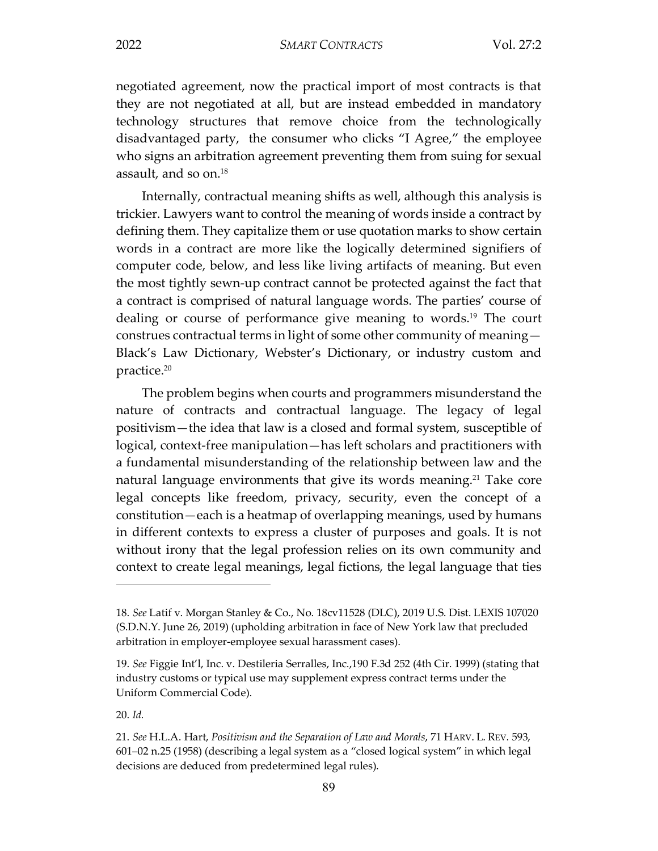negotiated agreement, now the practical import of most contracts is that they are not negotiated at all, but are instead embedded in mandatory technology structures that remove choice from the technologically disadvantaged party, the consumer who clicks "I Agree," the employee who signs an arbitration agreement preventing them from suing for sexual assault, and so on.18

Internally, contractual meaning shifts as well, although this analysis is trickier. Lawyers want to control the meaning of words inside a contract by defining them. They capitalize them or use quotation marks to show certain words in a contract are more like the logically determined signifiers of computer code, below, and less like living artifacts of meaning. But even the most tightly sewn-up contract cannot be protected against the fact that a contract is comprised of natural language words. The parties' course of dealing or course of performance give meaning to words.<sup>19</sup> The court construes contractual terms in light of some other community of meaning— Black's Law Dictionary, Webster's Dictionary, or industry custom and practice.20

The problem begins when courts and programmers misunderstand the nature of contracts and contractual language. The legacy of legal positivism—the idea that law is a closed and formal system, susceptible of logical, context-free manipulation—has left scholars and practitioners with a fundamental misunderstanding of the relationship between law and the natural language environments that give its words meaning.<sup>21</sup> Take core legal concepts like freedom, privacy, security, even the concept of a constitution—each is a heatmap of overlapping meanings, used by humans in different contexts to express a cluster of purposes and goals. It is not without irony that the legal profession relies on its own community and context to create legal meanings, legal fictions, the legal language that ties

<sup>18.</sup> *See* Latif v. Morgan Stanley & Co., No. 18cv11528 (DLC), 2019 U.S. Dist. LEXIS 107020 (S.D.N.Y. June 26, 2019) (upholding arbitration in face of New York law that precluded arbitration in employer-employee sexual harassment cases).

<sup>19.</sup> *See* Figgie Int'l, Inc. v. Destileria Serralles, Inc.,190 F.3d 252 (4th Cir. 1999) (stating that industry customs or typical use may supplement express contract terms under the Uniform Commercial Code).

<sup>20.</sup> *Id.*

<sup>21.</sup> *See* H.L.A. Hart, *Positivism and the Separation of Law and Morals*, 71 HARV. L. REV. 593, 601–02 n.25 (1958) (describing a legal system as a "closed logical system" in which legal decisions are deduced from predetermined legal rules).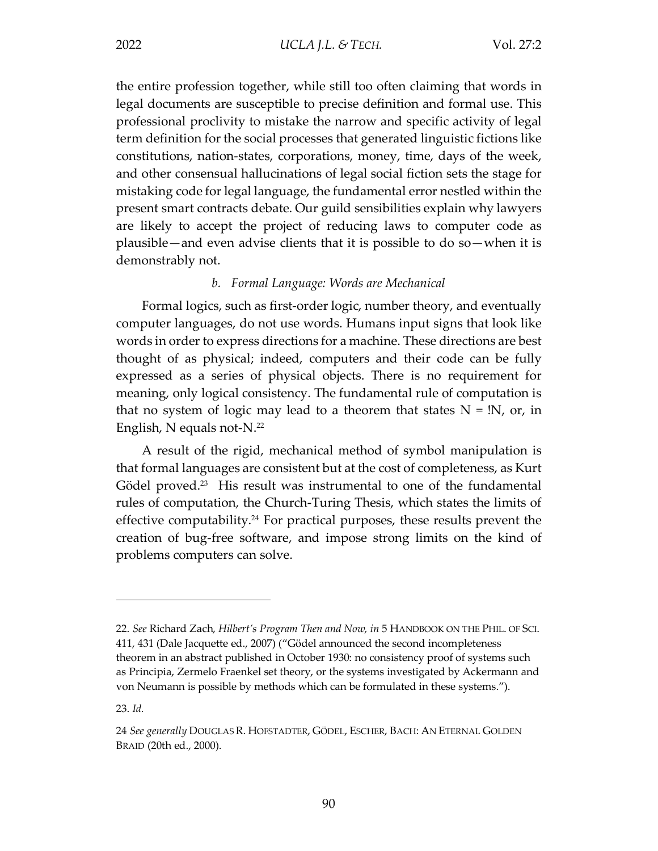the entire profession together, while still too often claiming that words in legal documents are susceptible to precise definition and formal use. This professional proclivity to mistake the narrow and specific activity of legal term definition for the social processes that generated linguistic fictions like constitutions, nation-states, corporations, money, time, days of the week, and other consensual hallucinations of legal social fiction sets the stage for mistaking code for legal language, the fundamental error nestled within the present smart contracts debate. Our guild sensibilities explain why lawyers are likely to accept the project of reducing laws to computer code as plausible—and even advise clients that it is possible to do so—when it is demonstrably not.

#### *b. Formal Language: Words are Mechanical*

Formal logics, such as first-order logic, number theory, and eventually computer languages, do not use words. Humans input signs that look like words in order to express directions for a machine. These directions are best thought of as physical; indeed, computers and their code can be fully expressed as a series of physical objects. There is no requirement for meaning, only logical consistency. The fundamental rule of computation is that no system of logic may lead to a theorem that states  $N = N$ , or, in English, N equals not-N.22

A result of the rigid, mechanical method of symbol manipulation is that formal languages are consistent but at the cost of completeness, as Kurt Gödel proved.<sup>23</sup> His result was instrumental to one of the fundamental rules of computation, the Church-Turing Thesis, which states the limits of effective computability.<sup>24</sup> For practical purposes, these results prevent the creation of bug-free software, and impose strong limits on the kind of problems computers can solve.

<sup>22.</sup> *See* Richard Zach, *Hilbert's Program Then and Now, in* 5 HANDBOOK ON THE PHIL. OF SCI. 411, 431 (Dale Jacquette ed., 2007) ("Gödel announced the second incompleteness theorem in an abstract published in October 1930: no consistency proof of systems such as Principia, Zermelo Fraenkel set theory, or the systems investigated by Ackermann and von Neumann is possible by methods which can be formulated in these systems.").

<sup>23.</sup> *Id.*

<sup>24</sup> *See generally* DOUGLAS R. HOFSTADTER, GÖDEL, ESCHER, BACH: AN ETERNAL GOLDEN BRAID (20th ed., 2000).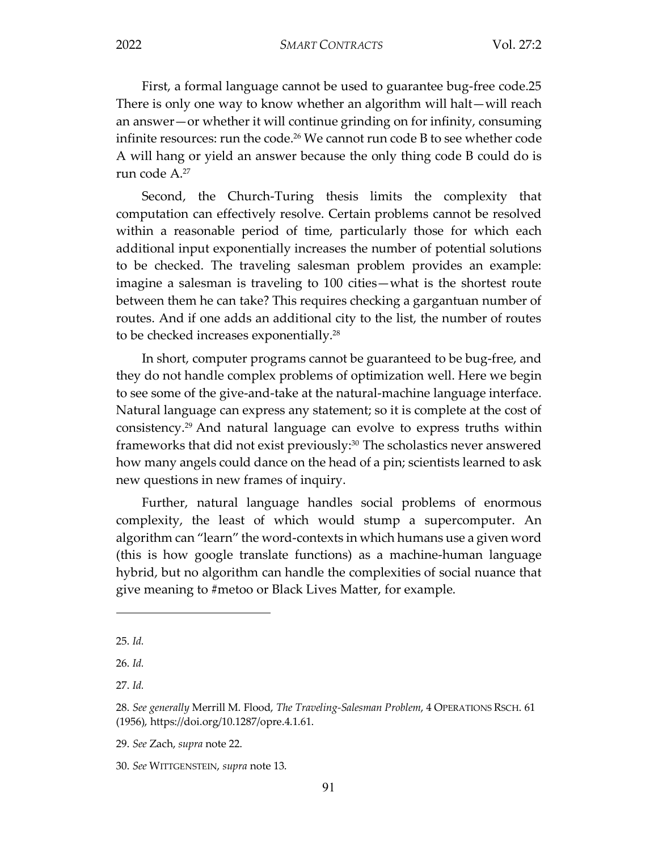First, a formal language cannot be used to guarantee bug-free code.25 There is only one way to know whether an algorithm will halt—will reach an answer—or whether it will continue grinding on for infinity, consuming infinite resources: run the code.<sup>26</sup> We cannot run code B to see whether code A will hang or yield an answer because the only thing code B could do is run code A.27

Second, the Church-Turing thesis limits the complexity that computation can effectively resolve. Certain problems cannot be resolved within a reasonable period of time, particularly those for which each additional input exponentially increases the number of potential solutions to be checked. The traveling salesman problem provides an example: imagine a salesman is traveling to 100 cities—what is the shortest route between them he can take? This requires checking a gargantuan number of routes. And if one adds an additional city to the list, the number of routes to be checked increases exponentially.<sup>28</sup>

In short, computer programs cannot be guaranteed to be bug-free, and they do not handle complex problems of optimization well. Here we begin to see some of the give-and-take at the natural-machine language interface. Natural language can express any statement; so it is complete at the cost of consistency.29 And natural language can evolve to express truths within frameworks that did not exist previously: $30$  The scholastics never answered how many angels could dance on the head of a pin; scientists learned to ask new questions in new frames of inquiry.

Further, natural language handles social problems of enormous complexity, the least of which would stump a supercomputer. An algorithm can "learn" the word-contexts in which humans use a given word (this is how google translate functions) as a machine-human language hybrid, but no algorithm can handle the complexities of social nuance that give meaning to #metoo or Black Lives Matter, for example.

<sup>25.</sup> *Id.*

<sup>26.</sup> *Id.*

<sup>27.</sup> *Id.*

<sup>28.</sup> *See generally* Merrill M. Flood, *The Traveling-Salesman Problem*, 4 OPERATIONS RSCH. 61 (1956), https://doi.org/10.1287/opre.4.1.61.

<sup>29.</sup> *See* Zach, *supra* note 22.

<sup>30.</sup> *See* WITTGENSTEIN, *supra* note 13.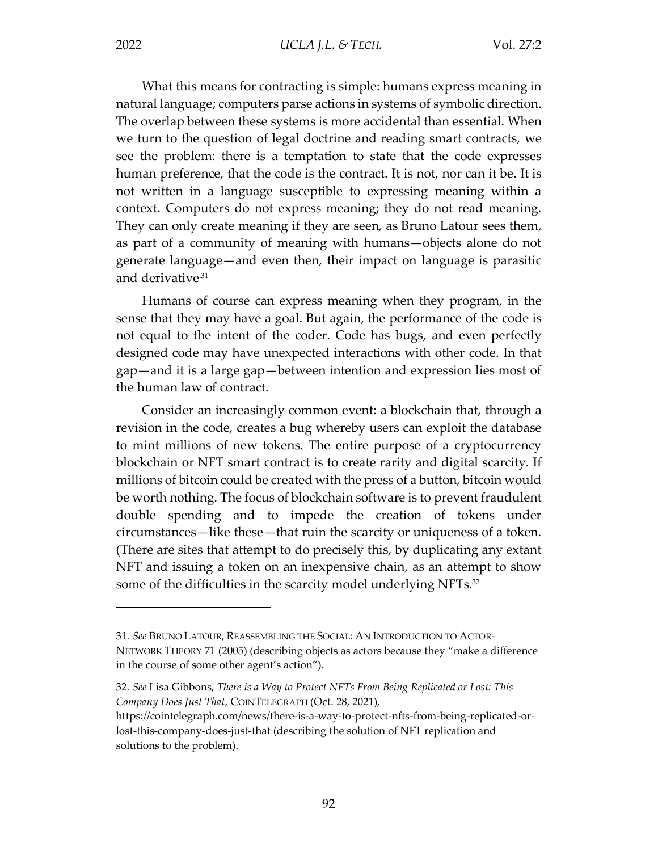What this means for contracting is simple: humans express meaning in natural language; computers parse actions in systems of symbolic direction. The overlap between these systems is more accidental than essential. When we turn to the question of legal doctrine and reading smart contracts, we see the problem: there is a temptation to state that the code expresses human preference, that the code is the contract. It is not, nor can it be. It is not written in a language susceptible to expressing meaning within a context. Computers do not express meaning; they do not read meaning. They can only create meaning if they are seen, as Bruno Latour sees them, as part of a community of meaning with humans—objects alone do not generate language—and even then, their impact on language is parasitic and derivative<sup>31</sup>

Humans of course can express meaning when they program, in the sense that they may have a goal. But again, the performance of the code is not equal to the intent of the coder. Code has bugs, and even perfectly designed code may have unexpected interactions with other code. In that gap—and it is a large gap—between intention and expression lies most of the human law of contract.

Consider an increasingly common event: a blockchain that, through a revision in the code, creates a bug whereby users can exploit the database to mint millions of new tokens. The entire purpose of a cryptocurrency blockchain or NFT smart contract is to create rarity and digital scarcity. If millions of bitcoin could be created with the press of a button, bitcoin would be worth nothing. The focus of blockchain software is to prevent fraudulent double spending and to impede the creation of tokens under circumstances—like these—that ruin the scarcity or uniqueness of a token. (There are sites that attempt to do precisely this, by duplicating any extant NFT and issuing a token on an inexpensive chain, as an attempt to show some of the difficulties in the scarcity model underlying NFTs.<sup>32</sup>

<sup>31.</sup> *See* BRUNO LATOUR, REASSEMBLING THE SOCIAL: AN INTRODUCTION TO ACTOR-NETWORK THEORY 71 (2005) (describing objects as actors because they "make a difference in the course of some other agent's action").

<sup>32.</sup> *See* Lisa Gibbons, *There is a Way to Protect NFTs From Being Replicated or Lost: This Company Does Just That,* COINTELEGRAPH (Oct. 28, 2021),

https://cointelegraph.com/news/there-is-a-way-to-protect-nfts-from-being-replicated-orlost-this-company-does-just-that (describing the solution of NFT replication and solutions to the problem).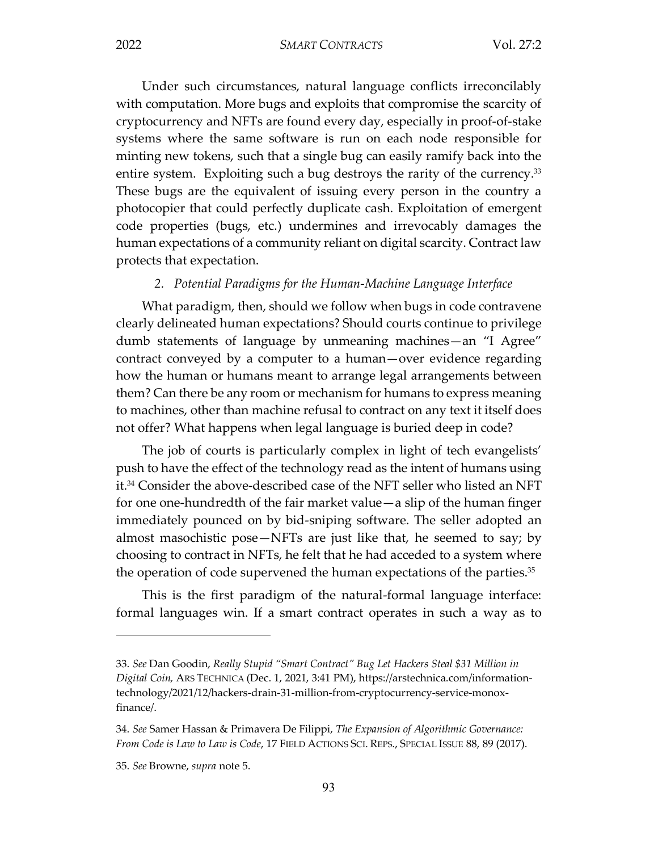Under such circumstances, natural language conflicts irreconcilably with computation. More bugs and exploits that compromise the scarcity of cryptocurrency and NFTs are found every day, especially in proof-of-stake systems where the same software is run on each node responsible for minting new tokens, such that a single bug can easily ramify back into the entire system. Exploiting such a bug destroys the rarity of the currency.<sup>33</sup> These bugs are the equivalent of issuing every person in the country a photocopier that could perfectly duplicate cash. Exploitation of emergent code properties (bugs, etc.) undermines and irrevocably damages the human expectations of a community reliant on digital scarcity. Contract law protects that expectation.

#### *2. Potential Paradigms for the Human-Machine Language Interface*

What paradigm, then, should we follow when bugs in code contravene clearly delineated human expectations? Should courts continue to privilege dumb statements of language by unmeaning machines—an "I Agree" contract conveyed by a computer to a human—over evidence regarding how the human or humans meant to arrange legal arrangements between them? Can there be any room or mechanism for humans to express meaning to machines, other than machine refusal to contract on any text it itself does not offer? What happens when legal language is buried deep in code?

The job of courts is particularly complex in light of tech evangelists' push to have the effect of the technology read as the intent of humans using it.34 Consider the above-described case of the NFT seller who listed an NFT for one one-hundredth of the fair market value—a slip of the human finger immediately pounced on by bid-sniping software. The seller adopted an almost masochistic pose—NFTs are just like that, he seemed to say; by choosing to contract in NFTs, he felt that he had acceded to a system where the operation of code supervened the human expectations of the parties. $35$ 

This is the first paradigm of the natural-formal language interface: formal languages win. If a smart contract operates in such a way as to

<sup>33.</sup> *See* Dan Goodin, *Really Stupid "Smart Contract" Bug Let Hackers Steal \$31 Million in Digital Coin,* ARS TECHNICA (Dec. 1, 2021, 3:41 PM), https://arstechnica.com/informationtechnology/2021/12/hackers-drain-31-million-from-cryptocurrency-service-monoxfinance/.

<sup>34.</sup> *See* Samer Hassan & Primavera De Filippi, *The Expansion of Algorithmic Governance: From Code is Law to Law is Code*, 17 FIELD ACTIONS SCI. REPS., SPECIAL ISSUE 88, 89 (2017).

<sup>35.</sup> *See* Browne, *supra* note 5.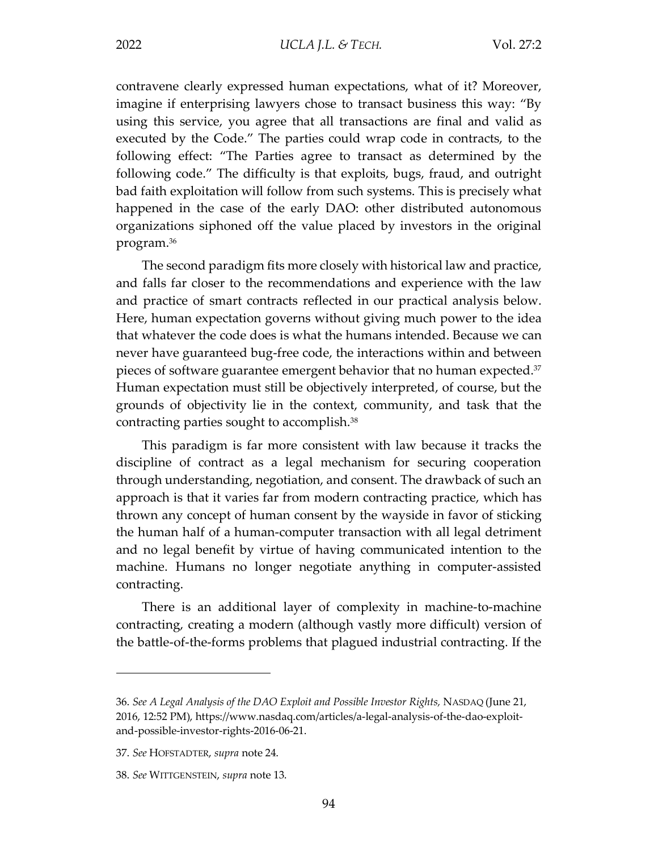contravene clearly expressed human expectations, what of it? Moreover, imagine if enterprising lawyers chose to transact business this way: "By using this service, you agree that all transactions are final and valid as executed by the Code." The parties could wrap code in contracts, to the following effect: "The Parties agree to transact as determined by the following code." The difficulty is that exploits, bugs, fraud, and outright bad faith exploitation will follow from such systems. This is precisely what happened in the case of the early DAO: other distributed autonomous organizations siphoned off the value placed by investors in the original program.36

The second paradigm fits more closely with historical law and practice, and falls far closer to the recommendations and experience with the law and practice of smart contracts reflected in our practical analysis below. Here, human expectation governs without giving much power to the idea that whatever the code does is what the humans intended. Because we can never have guaranteed bug-free code, the interactions within and between pieces of software guarantee emergent behavior that no human expected.37 Human expectation must still be objectively interpreted, of course, but the grounds of objectivity lie in the context, community, and task that the contracting parties sought to accomplish.<sup>38</sup>

This paradigm is far more consistent with law because it tracks the discipline of contract as a legal mechanism for securing cooperation through understanding, negotiation, and consent. The drawback of such an approach is that it varies far from modern contracting practice, which has thrown any concept of human consent by the wayside in favor of sticking the human half of a human-computer transaction with all legal detriment and no legal benefit by virtue of having communicated intention to the machine. Humans no longer negotiate anything in computer-assisted contracting.

There is an additional layer of complexity in machine-to-machine contracting, creating a modern (although vastly more difficult) version of the battle-of-the-forms problems that plagued industrial contracting. If the

<sup>36.</sup> *See A Legal Analysis of the DAO Exploit and Possible Investor Rights,* NASDAQ (June 21, 2016, 12:52 PM), https://www.nasdaq.com/articles/a-legal-analysis-of-the-dao-exploitand-possible-investor-rights-2016-06-21.

<sup>37.</sup> *See* HOFSTADTER, *supra* note 24.

<sup>38.</sup> *See* WITTGENSTEIN, *supra* note 13.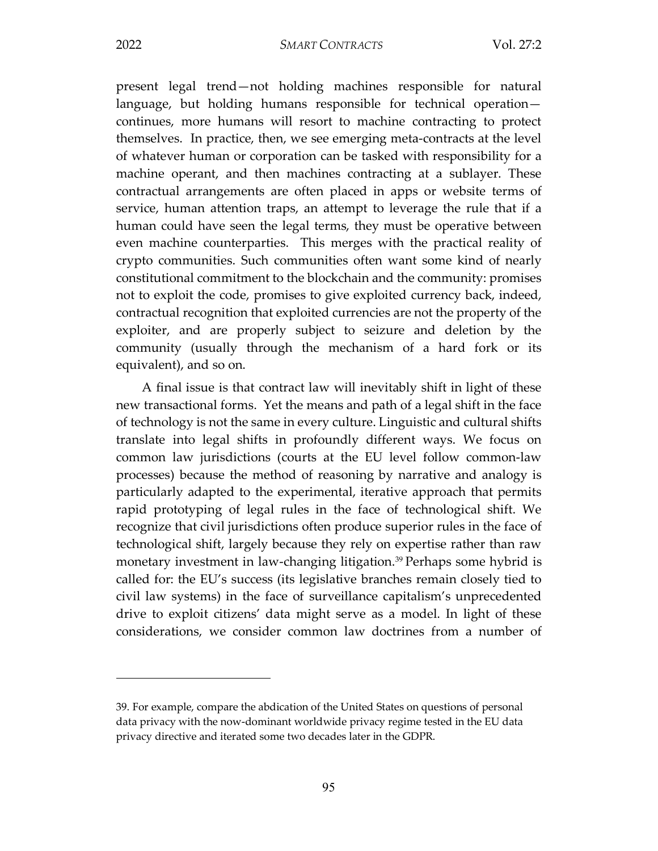$\overline{a}$ 

present legal trend—not holding machines responsible for natural language, but holding humans responsible for technical operation continues, more humans will resort to machine contracting to protect themselves. In practice, then, we see emerging meta-contracts at the level of whatever human or corporation can be tasked with responsibility for a machine operant, and then machines contracting at a sublayer. These contractual arrangements are often placed in apps or website terms of service, human attention traps, an attempt to leverage the rule that if a human could have seen the legal terms, they must be operative between even machine counterparties. This merges with the practical reality of crypto communities. Such communities often want some kind of nearly constitutional commitment to the blockchain and the community: promises not to exploit the code, promises to give exploited currency back, indeed, contractual recognition that exploited currencies are not the property of the exploiter, and are properly subject to seizure and deletion by the community (usually through the mechanism of a hard fork or its equivalent), and so on.

A final issue is that contract law will inevitably shift in light of these new transactional forms. Yet the means and path of a legal shift in the face of technology is not the same in every culture. Linguistic and cultural shifts translate into legal shifts in profoundly different ways. We focus on common law jurisdictions (courts at the EU level follow common-law processes) because the method of reasoning by narrative and analogy is particularly adapted to the experimental, iterative approach that permits rapid prototyping of legal rules in the face of technological shift. We recognize that civil jurisdictions often produce superior rules in the face of technological shift, largely because they rely on expertise rather than raw monetary investment in law-changing litigation.39 Perhaps some hybrid is called for: the EU's success (its legislative branches remain closely tied to civil law systems) in the face of surveillance capitalism's unprecedented drive to exploit citizens' data might serve as a model. In light of these considerations, we consider common law doctrines from a number of

<sup>39.</sup> For example, compare the abdication of the United States on questions of personal data privacy with the now-dominant worldwide privacy regime tested in the EU data privacy directive and iterated some two decades later in the GDPR.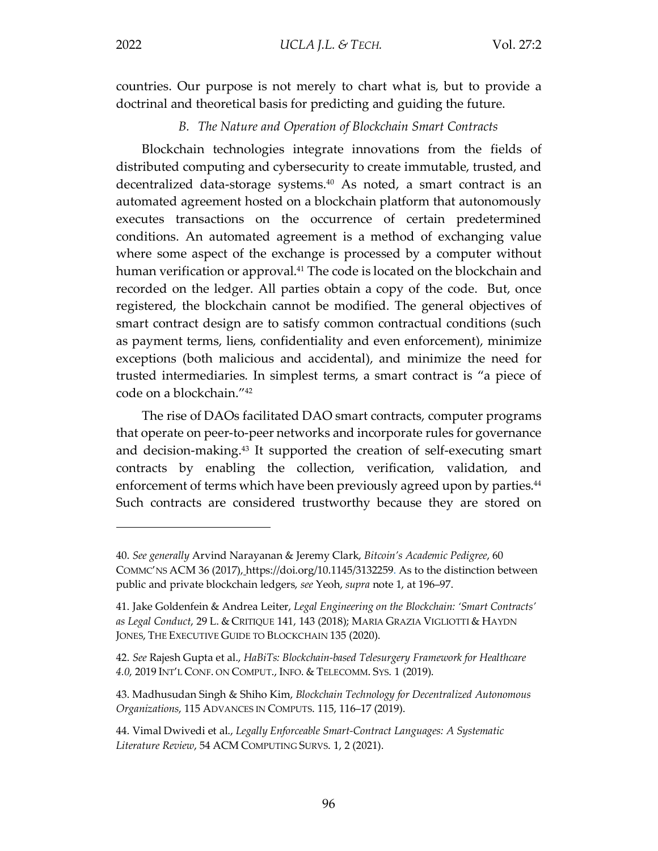countries. Our purpose is not merely to chart what is, but to provide a doctrinal and theoretical basis for predicting and guiding the future.

#### *B. The Nature and Operation of Blockchain Smart Contracts*

Blockchain technologies integrate innovations from the fields of distributed computing and cybersecurity to create immutable, trusted, and decentralized data-storage systems.<sup>40</sup> As noted, a smart contract is an automated agreement hosted on a blockchain platform that autonomously executes transactions on the occurrence of certain predetermined conditions. An automated agreement is a method of exchanging value where some aspect of the exchange is processed by a computer without human verification or approval.<sup>41</sup> The code is located on the blockchain and recorded on the ledger. All parties obtain a copy of the code. But, once registered, the blockchain cannot be modified. The general objectives of smart contract design are to satisfy common contractual conditions (such as payment terms, liens, confidentiality and even enforcement), minimize exceptions (both malicious and accidental), and minimize the need for trusted intermediaries. In simplest terms, a smart contract is "a piece of code on a blockchain."42

The rise of DAOs facilitated DAO smart contracts, computer programs that operate on peer-to-peer networks and incorporate rules for governance and decision-making.43 It supported the creation of self-executing smart contracts by enabling the collection, verification, validation, and enforcement of terms which have been previously agreed upon by parties.<sup>44</sup> Such contracts are considered trustworthy because they are stored on

<sup>40.</sup> *See generally* Arvind Narayanan & Jeremy Clark, *Bitcoin's Academic Pedigree*, 60 COMMC'NS ACM 36 (2017), https://doi.org/10.1145/3132259. As to the distinction between public and private blockchain ledgers, *see* Yeoh, *supra* note 1, at 196–97.

<sup>41.</sup> Jake Goldenfein & Andrea Leiter, *Legal Engineering on the Blockchain: 'Smart Contracts' as Legal Conduct*, 29 L. & CRITIQUE 141, 143 (2018); MARIA GRAZIA VIGLIOTTI & HAYDN JONES, THE EXECUTIVE GUIDE TO BLOCKCHAIN 135 (2020).

<sup>42.</sup> *See* Rajesh Gupta et al., *HaBiTs: Blockchain-based Telesurgery Framework for Healthcare 4.0*, 2019 INT'L CONF. ON COMPUT., INFO. & TELECOMM. SYS. 1 (2019).

<sup>43.</sup> Madhusudan Singh & Shiho Kim, *Blockchain Technology for Decentralized Autonomous Organizations*, 115 ADVANCES IN COMPUTS. 115, 116–17 (2019).

<sup>44.</sup> Vimal Dwivedi et al., *Legally Enforceable Smart-Contract Languages: A Systematic Literature Review*, 54 ACM COMPUTING SURVS. 1, 2 (2021).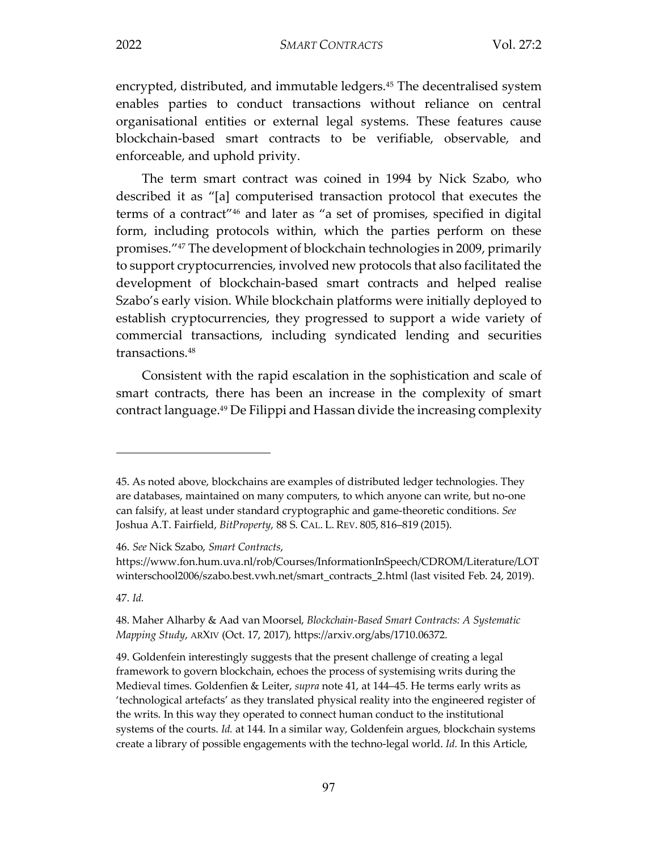encrypted, distributed, and immutable ledgers.<sup>45</sup> The decentralised system enables parties to conduct transactions without reliance on central organisational entities or external legal systems. These features cause blockchain-based smart contracts to be verifiable, observable, and enforceable, and uphold privity.

The term smart contract was coined in 1994 by Nick Szabo, who described it as "[a] computerised transaction protocol that executes the terms of a contract"46 and later as "a set of promises, specified in digital form, including protocols within, which the parties perform on these promises."47 The development of blockchain technologies in 2009, primarily to support cryptocurrencies, involved new protocols that also facilitated the development of blockchain-based smart contracts and helped realise Szabo's early vision. While blockchain platforms were initially deployed to establish cryptocurrencies, they progressed to support a wide variety of commercial transactions, including syndicated lending and securities transactions.48

Consistent with the rapid escalation in the sophistication and scale of smart contracts, there has been an increase in the complexity of smart contract language.49 De Filippi and Hassan divide the increasing complexity

46. *See* Nick Szabo, *Smart Contracts*,

47. *Id.*

<sup>45.</sup> As noted above, blockchains are examples of distributed ledger technologies. They are databases, maintained on many computers, to which anyone can write, but no-one can falsify, at least under standard cryptographic and game-theoretic conditions. *See*  Joshua A.T. Fairfield, *BitProperty*, 88 S. CAL. L. REV. 805, 816–819 (2015).

https://www.fon.hum.uva.nl/rob/Courses/InformationInSpeech/CDROM/Literature/LOT winterschool2006/szabo.best.vwh.net/smart\_contracts\_2.html (last visited Feb. 24, 2019).

<sup>48.</sup> Maher Alharby & Aad van Moorsel, *Blockchain-Based Smart Contracts: A Systematic Mapping Study*, ARXIV (Oct. 17, 2017), https://arxiv.org/abs/1710.06372.

<sup>49.</sup> Goldenfein interestingly suggests that the present challenge of creating a legal framework to govern blockchain, echoes the process of systemising writs during the Medieval times. Goldenfien & Leiter, *supra* note 41, at 144–45. He terms early writs as 'technological artefacts' as they translated physical reality into the engineered register of the writs. In this way they operated to connect human conduct to the institutional systems of the courts. *Id.* at 144. In a similar way, Goldenfein argues, blockchain systems create a library of possible engagements with the techno-legal world. *Id.* In this Article,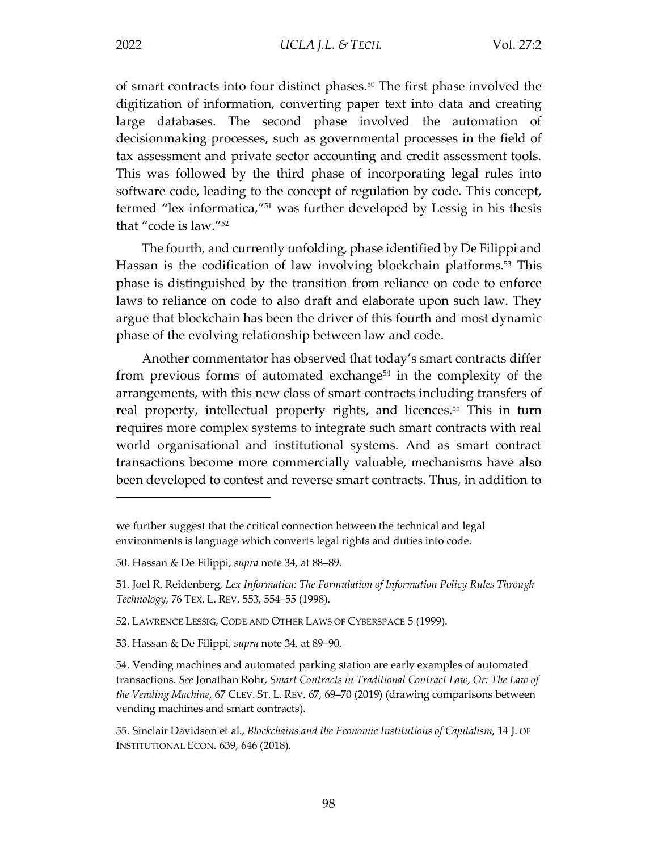of smart contracts into four distinct phases.50 The first phase involved the digitization of information, converting paper text into data and creating large databases. The second phase involved the automation of decisionmaking processes, such as governmental processes in the field of tax assessment and private sector accounting and credit assessment tools. This was followed by the third phase of incorporating legal rules into software code, leading to the concept of regulation by code. This concept, termed "lex informatica,"51 was further developed by Lessig in his thesis that "code is law."52

The fourth, and currently unfolding, phase identified by De Filippi and Hassan is the codification of law involving blockchain platforms.<sup>53</sup> This phase is distinguished by the transition from reliance on code to enforce laws to reliance on code to also draft and elaborate upon such law. They argue that blockchain has been the driver of this fourth and most dynamic phase of the evolving relationship between law and code.

Another commentator has observed that today's smart contracts differ from previous forms of automated exchange<sup>54</sup> in the complexity of the arrangements, with this new class of smart contracts including transfers of real property, intellectual property rights, and licences.<sup>55</sup> This in turn requires more complex systems to integrate such smart contracts with real world organisational and institutional systems. And as smart contract transactions become more commercially valuable, mechanisms have also been developed to contest and reverse smart contracts. Thus, in addition to

we further suggest that the critical connection between the technical and legal environments is language which converts legal rights and duties into code.

<sup>50.</sup> Hassan & De Filippi, *supra* note 34, at 88–89.

<sup>51.</sup> Joel R. Reidenberg, *Lex Informatica: The Formulation of Information Policy Rules Through Technology*, 76 TEX. L. REV. 553, 554–55 (1998).

<sup>52.</sup> LAWRENCE LESSIG, CODE AND OTHER LAWS OF CYBERSPACE 5 (1999).

<sup>53.</sup> Hassan & De Filippi, *supra* note 34, at 89–90.

<sup>54.</sup> Vending machines and automated parking station are early examples of automated transactions. *See* Jonathan Rohr, *Smart Contracts in Traditional Contract Law, Or: The Law of the Vending Machine*, 67 CLEV. ST. L. REV. 67, 69–70 (2019) (drawing comparisons between vending machines and smart contracts).

<sup>55.</sup> Sinclair Davidson et al., *Blockchains and the Economic Institutions of Capitalism*, 14 J. OF INSTITUTIONAL ECON. 639, 646 (2018).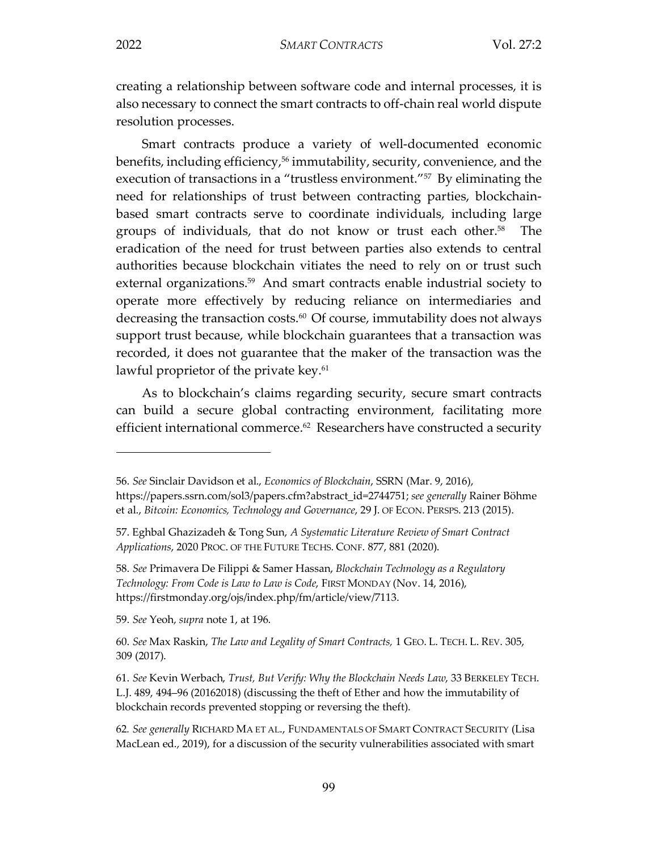$\overline{a}$ 

creating a relationship between software code and internal processes, it is also necessary to connect the smart contracts to off-chain real world dispute resolution processes.

Smart contracts produce a variety of well-documented economic benefits, including efficiency,<sup>56</sup> immutability, security, convenience, and the execution of transactions in a "trustless environment."<sup>57</sup> By eliminating the need for relationships of trust between contracting parties, blockchainbased smart contracts serve to coordinate individuals, including large groups of individuals, that do not know or trust each other.<sup>58</sup> The eradication of the need for trust between parties also extends to central authorities because blockchain vitiates the need to rely on or trust such external organizations.<sup>59</sup> And smart contracts enable industrial society to operate more effectively by reducing reliance on intermediaries and decreasing the transaction costs.<sup>60</sup> Of course, immutability does not always support trust because, while blockchain guarantees that a transaction was recorded, it does not guarantee that the maker of the transaction was the lawful proprietor of the private key.<sup>61</sup>

As to blockchain's claims regarding security, secure smart contracts can build a secure global contracting environment, facilitating more efficient international commerce.<sup>62</sup> Researchers have constructed a security

59. *See* Yeoh, *supra* note 1, at 196.

<sup>56.</sup> *See* Sinclair Davidson et al., *Economics of Blockchain*, SSRN (Mar. 9, 2016), https://papers.ssrn.com/sol3/papers.cfm?abstract\_id=2744751; *see generally* Rainer Böhme et al., *Bitcoin: Economics, Technology and Governance*, 29 J. OF ECON. PERSPS. 213 (2015).

<sup>57.</sup> Eghbal Ghazizadeh & Tong Sun, *A Systematic Literature Review of Smart Contract Applications*, 2020 PROC. OF THE FUTURE TECHS. CONF. 877, 881 (2020).

<sup>58.</sup> *See* Primavera De Filippi & Samer Hassan, *Blockchain Technology as a Regulatory Technology: From Code is Law to Law is Code*, FIRST MONDAY (Nov. 14, 2016), https://firstmonday.org/ojs/index.php/fm/article/view/7113.

<sup>60.</sup> *See* Max Raskin, *The Law and Legality of Smart Contracts,* 1 GEO. L. TECH. L. REV. 305, 309 (2017).

<sup>61.</sup> *See* Kevin Werbach, *Trust, But Verify: Why the Blockchain Needs Law*, 33 BERKELEY TECH. L.J. 489, 494–96 (20162018) (discussing the theft of Ether and how the immutability of blockchain records prevented stopping or reversing the theft).

<sup>62</sup>*. See generally* RICHARD MA ET AL., FUNDAMENTALS OF SMART CONTRACT SECURITY (Lisa MacLean ed., 2019), for a discussion of the security vulnerabilities associated with smart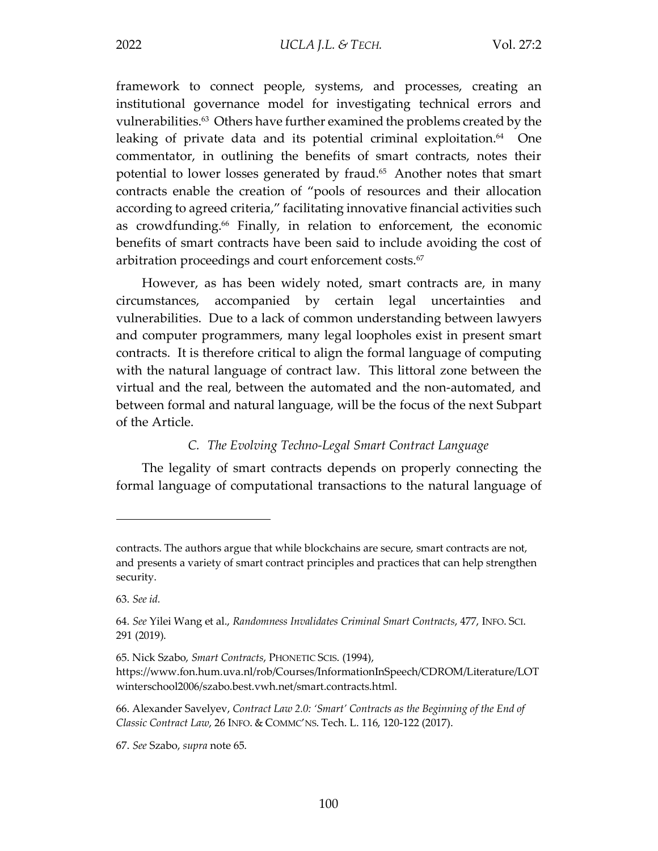framework to connect people, systems, and processes, creating an institutional governance model for investigating technical errors and vulnerabilities.63 Others have further examined the problems created by the leaking of private data and its potential criminal exploitation.<sup>64</sup> One commentator, in outlining the benefits of smart contracts, notes their potential to lower losses generated by fraud.65 Another notes that smart contracts enable the creation of "pools of resources and their allocation according to agreed criteria," facilitating innovative financial activities such as crowdfunding.<sup>66</sup> Finally, in relation to enforcement, the economic benefits of smart contracts have been said to include avoiding the cost of arbitration proceedings and court enforcement costs.<sup>67</sup>

However, as has been widely noted, smart contracts are, in many circumstances, accompanied by certain legal uncertainties and vulnerabilities. Due to a lack of common understanding between lawyers and computer programmers, many legal loopholes exist in present smart contracts. It is therefore critical to align the formal language of computing with the natural language of contract law. This littoral zone between the virtual and the real, between the automated and the non-automated, and between formal and natural language, will be the focus of the next Subpart of the Article.

#### *C. The Evolving Techno-Legal Smart Contract Language*

The legality of smart contracts depends on properly connecting the formal language of computational transactions to the natural language of

contracts. The authors argue that while blockchains are secure, smart contracts are not, and presents a variety of smart contract principles and practices that can help strengthen security.

<sup>63.</sup> *See id.*

<sup>64.</sup> *See* Yilei Wang et al., *Randomness Invalidates Criminal Smart Contracts*, 477, INFO. SCI. 291 (2019).

<sup>65.</sup> Nick Szabo, *Smart Contracts*, PHONETIC SCIS. (1994),

https://www.fon.hum.uva.nl/rob/Courses/InformationInSpeech/CDROM/Literature/LOT winterschool2006/szabo.best.vwh.net/smart.contracts.html.

<sup>66.</sup> Alexander Savelyev, *Contract Law 2.0: 'Smart' Contracts as the Beginning of the End of Classic Contract Law*, 26 INFO. & COMMC'NS. Tech. L. 116, 120-122 (2017).

<sup>67.</sup> *See* Szabo, *supra* note 65.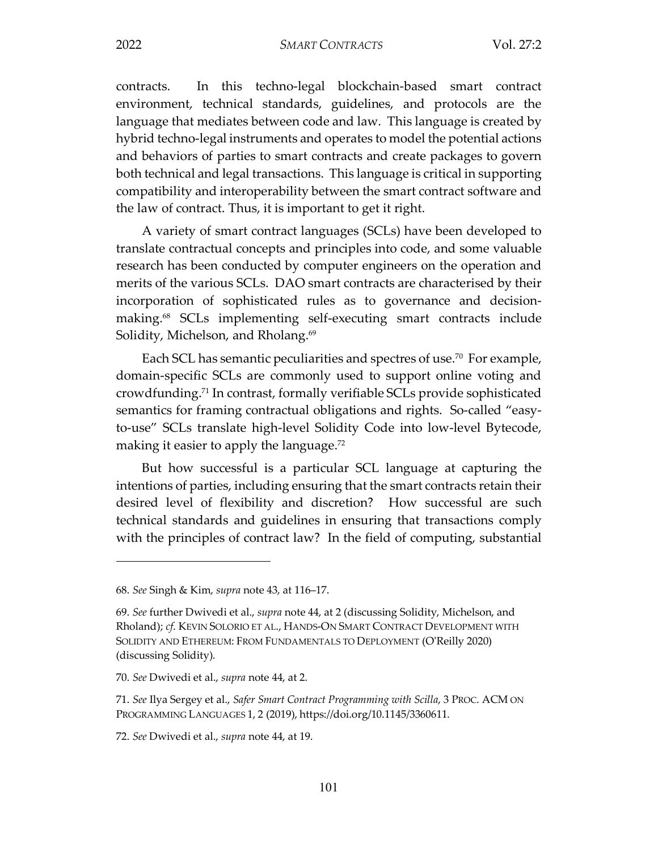contracts. In this techno-legal blockchain-based smart contract environment, technical standards, guidelines, and protocols are the language that mediates between code and law. This language is created by hybrid techno-legal instruments and operates to model the potential actions and behaviors of parties to smart contracts and create packages to govern both technical and legal transactions. This language is critical in supporting compatibility and interoperability between the smart contract software and the law of contract. Thus, it is important to get it right.

A variety of smart contract languages (SCLs) have been developed to translate contractual concepts and principles into code, and some valuable research has been conducted by computer engineers on the operation and merits of the various SCLs. DAO smart contracts are characterised by their incorporation of sophisticated rules as to governance and decisionmaking.68 SCLs implementing self-executing smart contracts include Solidity, Michelson, and Rholang.<sup>69</sup>

Each SCL has semantic peculiarities and spectres of use.<sup>70</sup> For example, domain-specific SCLs are commonly used to support online voting and crowdfunding.71 In contrast, formally verifiable SCLs provide sophisticated semantics for framing contractual obligations and rights. So-called "easyto-use" SCLs translate high-level Solidity Code into low-level Bytecode, making it easier to apply the language.<sup>72</sup>

But how successful is a particular SCL language at capturing the intentions of parties, including ensuring that the smart contracts retain their desired level of flexibility and discretion? How successful are such technical standards and guidelines in ensuring that transactions comply with the principles of contract law? In the field of computing, substantial

<sup>68.</sup> *See* Singh & Kim, *supra* note 43, at 116–17.

<sup>69.</sup> *See* further Dwivedi et al., *supra* note 44, at 2 (discussing Solidity, Michelson, and Rholand); *cf*. KEVIN SOLORIO ET AL., HANDS-ON SMART CONTRACT DEVELOPMENT WITH SOLIDITY AND ETHEREUM: FROM FUNDAMENTALS TO DEPLOYMENT (O'Reilly 2020) (discussing Solidity).

<sup>70.</sup> *See* Dwivedi et al., *supra* note 44, at 2.

<sup>71.</sup> *See* Ilya Sergey et al., *Safer Smart Contract Programming with Scilla*, 3 PROC. ACM ON PROGRAMMING LANGUAGES 1, 2 (2019), https://doi.org/10.1145/3360611.

<sup>72.</sup> *See* Dwivedi et al., *supra* note 44, at 19.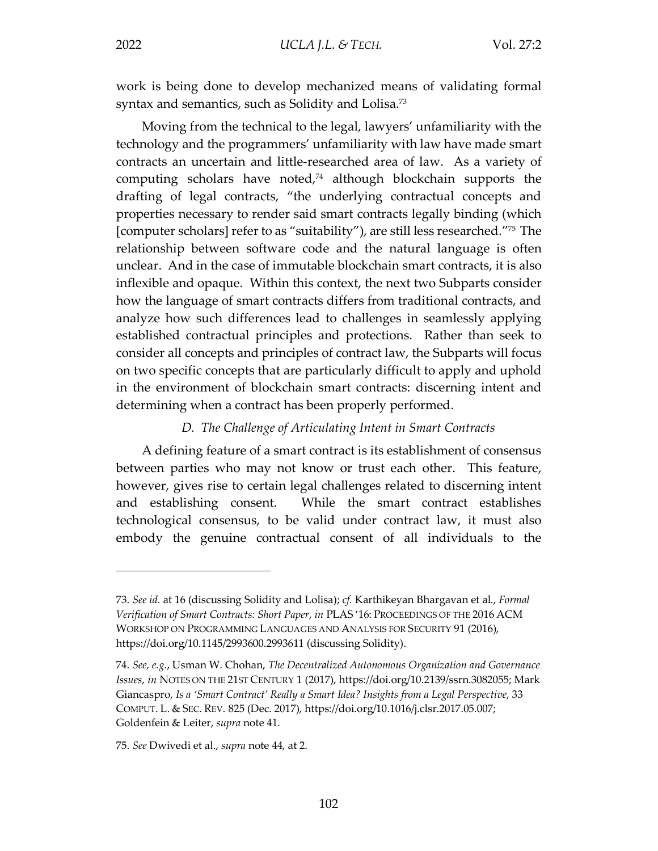$\overline{a}$ 

work is being done to develop mechanized means of validating formal syntax and semantics, such as Solidity and Lolisa.<sup>73</sup>

Moving from the technical to the legal, lawyers' unfamiliarity with the technology and the programmers' unfamiliarity with law have made smart contracts an uncertain and little-researched area of law. As a variety of computing scholars have noted,<sup>74</sup> although blockchain supports the drafting of legal contracts, "the underlying contractual concepts and properties necessary to render said smart contracts legally binding (which [computer scholars] refer to as "suitability"), are still less researched."75 The relationship between software code and the natural language is often unclear. And in the case of immutable blockchain smart contracts, it is also inflexible and opaque. Within this context, the next two Subparts consider how the language of smart contracts differs from traditional contracts, and analyze how such differences lead to challenges in seamlessly applying established contractual principles and protections. Rather than seek to consider all concepts and principles of contract law, the Subparts will focus on two specific concepts that are particularly difficult to apply and uphold in the environment of blockchain smart contracts: discerning intent and determining when a contract has been properly performed.

#### *D. The Challenge of Articulating Intent in Smart Contracts*

A defining feature of a smart contract is its establishment of consensus between parties who may not know or trust each other. This feature, however, gives rise to certain legal challenges related to discerning intent and establishing consent. While the smart contract establishes technological consensus, to be valid under contract law, it must also embody the genuine contractual consent of all individuals to the

<sup>73.</sup> *See id.* at 16 (discussing Solidity and Lolisa); *cf.* Karthikeyan Bhargavan et al., *Formal Verification of Smart Contracts: Short Paper*, *in* PLAS '16: PROCEEDINGS OF THE 2016 ACM WORKSHOP ON PROGRAMMING LANGUAGES AND ANALYSIS FOR SECURITY 91 (2016), https://doi.org/10.1145/2993600.2993611 (discussing Solidity).

<sup>74.</sup> *See, e.g.*, Usman W. Chohan, *The Decentralized Autonomous Organization and Governance Issues*, *in* NOTES ON THE 21ST CENTURY 1 (2017), https://doi.org/10.2139/ssrn.3082055; Mark Giancaspro, *Is a 'Smart Contract' Really a Smart Idea? Insights from a Legal Perspective*, 33 COMPUT. L. & SEC. REV. 825 (Dec. 2017), https://doi.org/10.1016/j.clsr.2017.05.007; Goldenfein & Leiter, *supra* note 41.

<sup>75.</sup> *See* Dwivedi et al., *supra* note 44, at 2.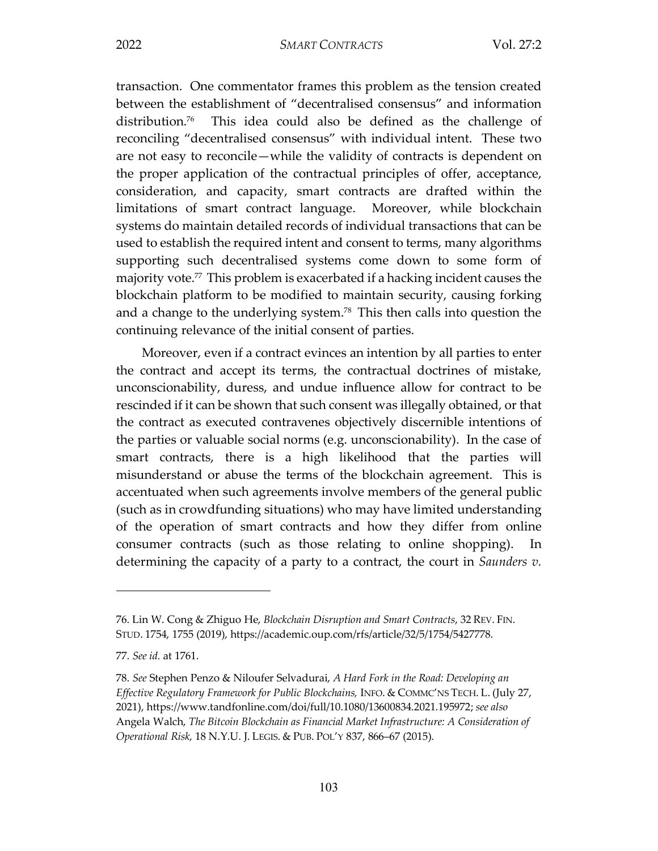transaction. One commentator frames this problem as the tension created between the establishment of "decentralised consensus" and information distribution.76 This idea could also be defined as the challenge of reconciling "decentralised consensus" with individual intent. These two are not easy to reconcile—while the validity of contracts is dependent on the proper application of the contractual principles of offer, acceptance, consideration, and capacity, smart contracts are drafted within the limitations of smart contract language. Moreover, while blockchain systems do maintain detailed records of individual transactions that can be used to establish the required intent and consent to terms, many algorithms supporting such decentralised systems come down to some form of majority vote.77 This problem is exacerbated if a hacking incident causes the blockchain platform to be modified to maintain security, causing forking and a change to the underlying system.<sup>78</sup> This then calls into question the continuing relevance of the initial consent of parties.

Moreover, even if a contract evinces an intention by all parties to enter the contract and accept its terms, the contractual doctrines of mistake, unconscionability, duress, and undue influence allow for contract to be rescinded if it can be shown that such consent was illegally obtained, or that the contract as executed contravenes objectively discernible intentions of the parties or valuable social norms (e.g. unconscionability). In the case of smart contracts, there is a high likelihood that the parties will misunderstand or abuse the terms of the blockchain agreement. This is accentuated when such agreements involve members of the general public (such as in crowdfunding situations) who may have limited understanding of the operation of smart contracts and how they differ from online consumer contracts (such as those relating to online shopping). In determining the capacity of a party to a contract, the court in *Saunders v.* 

<sup>76.</sup> Lin W. Cong & Zhiguo He, *Blockchain Disruption and Smart Contracts*, 32 REV. FIN. STUD. 1754, 1755 (2019), https://academic.oup.com/rfs/article/32/5/1754/5427778.

<sup>77.</sup> *See id.* at 1761.

<sup>78.</sup> *See* Stephen Penzo & Niloufer Selvadurai, *A Hard Fork in the Road: Developing an Effective Regulatory Framework for Public Blockchains,* INFO. & COMMC'NS TECH. L. (July 27, 2021), https://www.tandfonline.com/doi/full/10.1080/13600834.2021.195972; *see also*  Angela Walch, *The Bitcoin Blockchain as Financial Market Infrastructure: A Consideration of Operational Risk,* 18 N.Y.U. J. LEGIS. & PUB. POL'Y 837, 866–67 (2015).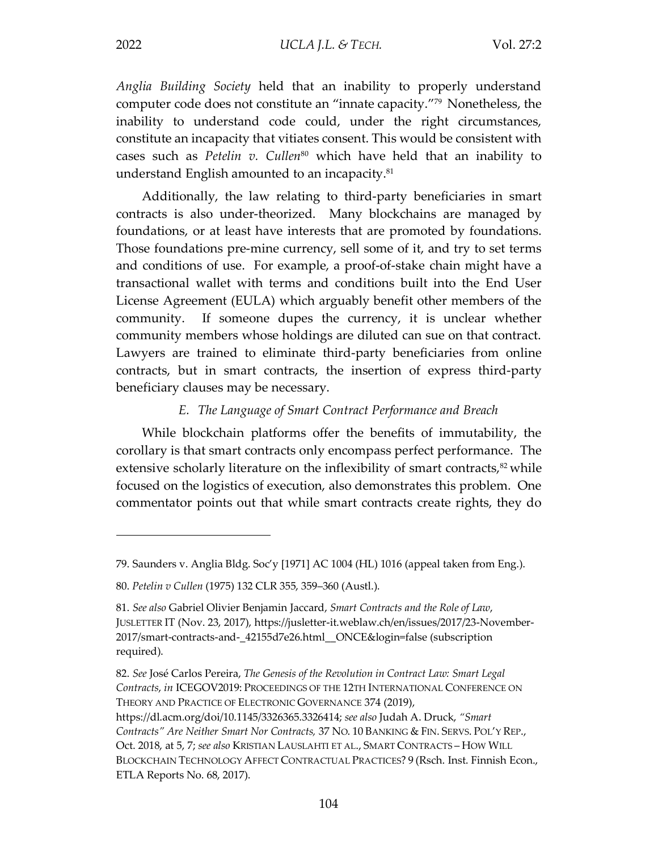*Anglia Building Society* held that an inability to properly understand computer code does not constitute an "innate capacity."79 Nonetheless, the inability to understand code could, under the right circumstances, constitute an incapacity that vitiates consent. This would be consistent with cases such as *Petelin v. Cullen<sup>80</sup>* which have held that an inability to understand English amounted to an incapacity.<sup>81</sup>

Additionally, the law relating to third-party beneficiaries in smart contracts is also under-theorized. Many blockchains are managed by foundations, or at least have interests that are promoted by foundations. Those foundations pre-mine currency, sell some of it, and try to set terms and conditions of use. For example, a proof-of-stake chain might have a transactional wallet with terms and conditions built into the End User License Agreement (EULA) which arguably benefit other members of the community. If someone dupes the currency, it is unclear whether community members whose holdings are diluted can sue on that contract. Lawyers are trained to eliminate third-party beneficiaries from online contracts, but in smart contracts, the insertion of express third-party beneficiary clauses may be necessary.

#### *E. The Language of Smart Contract Performance and Breach*

While blockchain platforms offer the benefits of immutability, the corollary is that smart contracts only encompass perfect performance. The extensive scholarly literature on the inflexibility of smart contracts, $82$  while focused on the logistics of execution, also demonstrates this problem. One commentator points out that while smart contracts create rights, they do

<sup>79.</sup> Saunders v. Anglia Bldg. Soc'y [1971] AC 1004 (HL) 1016 (appeal taken from Eng.).

<sup>80.</sup> *Petelin v Cullen* (1975) 132 CLR 355, 359–360 (Austl.).

<sup>81.</sup> *See also* Gabriel Olivier Benjamin Jaccard, *Smart Contracts and the Role of Law*, JUSLETTER IT (Nov. 23, 2017), https://jusletter-it.weblaw.ch/en/issues/2017/23-November-2017/smart-contracts-and-\_42155d7e26.html\_\_ONCE&login=false (subscription required).

<sup>82.</sup> *See* José Carlos Pereira, *The Genesis of the Revolution in Contract Law: Smart Legal Contracts*, *in* ICEGOV2019: PROCEEDINGS OF THE 12TH INTERNATIONAL CONFERENCE ON THEORY AND PRACTICE OF ELECTRONIC GOVERNANCE 374 (2019), https://dl.acm.org/doi/10.1145/3326365.3326414; *see also* Judah A. Druck, *"Smart Contracts" Are Neither Smart Nor Contracts,* 37 NO. 10 BANKING & FIN. SERVS. POL'Y REP., Oct. 2018, at 5, 7; *see also* KRISTIAN LAUSLAHTI ET AL., SMART CONTRACTS – HOW WILL BLOCKCHAIN TECHNOLOGY AFFECT CONTRACTUAL PRACTICES? 9 (Rsch. Inst. Finnish Econ., ETLA Reports No. 68, 2017).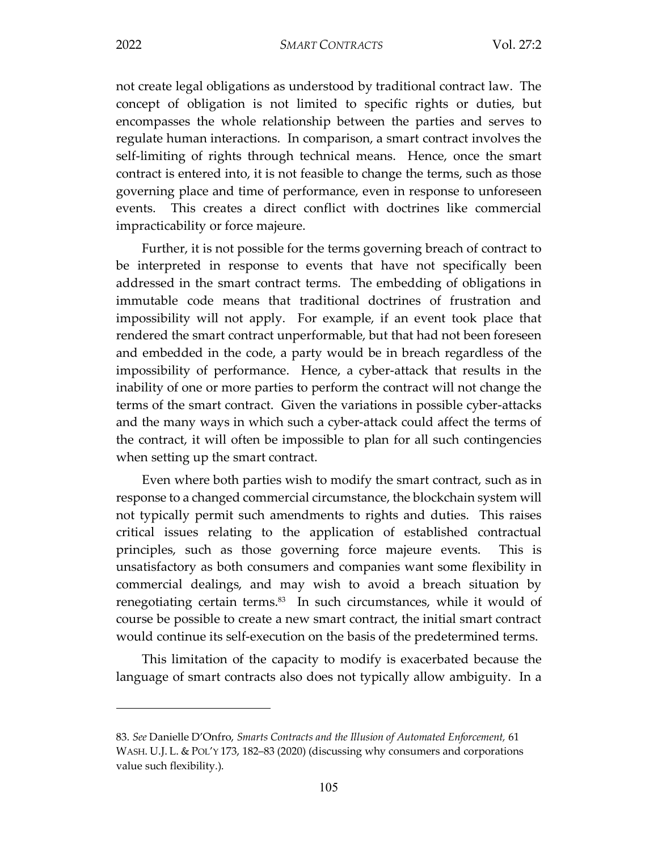2022 *SMART CONTRACTS* Vol. 27:2

not create legal obligations as understood by traditional contract law. The concept of obligation is not limited to specific rights or duties, but encompasses the whole relationship between the parties and serves to regulate human interactions. In comparison, a smart contract involves the self-limiting of rights through technical means. Hence, once the smart contract is entered into, it is not feasible to change the terms, such as those governing place and time of performance, even in response to unforeseen events. This creates a direct conflict with doctrines like commercial impracticability or force majeure.

Further, it is not possible for the terms governing breach of contract to be interpreted in response to events that have not specifically been addressed in the smart contract terms. The embedding of obligations in immutable code means that traditional doctrines of frustration and impossibility will not apply. For example, if an event took place that rendered the smart contract unperformable, but that had not been foreseen and embedded in the code, a party would be in breach regardless of the impossibility of performance. Hence, a cyber-attack that results in the inability of one or more parties to perform the contract will not change the terms of the smart contract. Given the variations in possible cyber-attacks and the many ways in which such a cyber-attack could affect the terms of the contract, it will often be impossible to plan for all such contingencies when setting up the smart contract.

Even where both parties wish to modify the smart contract, such as in response to a changed commercial circumstance, the blockchain system will not typically permit such amendments to rights and duties. This raises critical issues relating to the application of established contractual principles, such as those governing force majeure events. This is unsatisfactory as both consumers and companies want some flexibility in commercial dealings, and may wish to avoid a breach situation by renegotiating certain terms.<sup>83</sup> In such circumstances, while it would of course be possible to create a new smart contract, the initial smart contract would continue its self-execution on the basis of the predetermined terms.

This limitation of the capacity to modify is exacerbated because the language of smart contracts also does not typically allow ambiguity. In a

<sup>83.</sup> *See* Danielle D'Onfro, *Smarts Contracts and the Illusion of Automated Enforcement,* 61 WASH. U.J. L. & POL'Y 173, 182–83 (2020) (discussing why consumers and corporations value such flexibility.).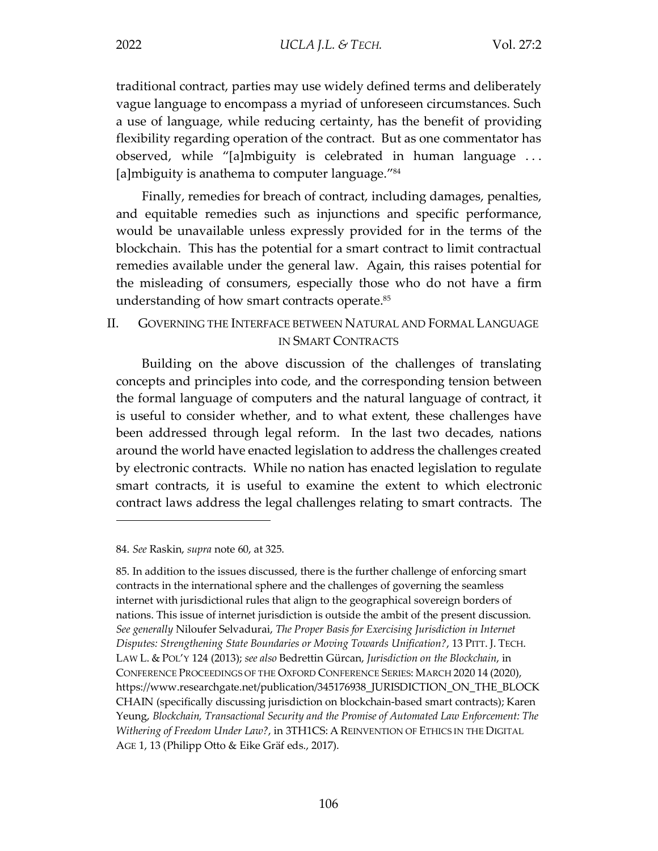traditional contract, parties may use widely defined terms and deliberately vague language to encompass a myriad of unforeseen circumstances. Such a use of language, while reducing certainty, has the benefit of providing flexibility regarding operation of the contract. But as one commentator has observed, while "[a]mbiguity is celebrated in human language . . . [a]mbiguity is anathema to computer language."<sup>84</sup>

Finally, remedies for breach of contract, including damages, penalties, and equitable remedies such as injunctions and specific performance, would be unavailable unless expressly provided for in the terms of the blockchain. This has the potential for a smart contract to limit contractual remedies available under the general law. Again, this raises potential for the misleading of consumers, especially those who do not have a firm understanding of how smart contracts operate.<sup>85</sup>

#### II. GOVERNING THE INTERFACE BETWEEN NATURAL AND FORMAL LANGUAGE IN SMART CONTRACTS

Building on the above discussion of the challenges of translating concepts and principles into code, and the corresponding tension between the formal language of computers and the natural language of contract, it is useful to consider whether, and to what extent, these challenges have been addressed through legal reform. In the last two decades, nations around the world have enacted legislation to address the challenges created by electronic contracts. While no nation has enacted legislation to regulate smart contracts, it is useful to examine the extent to which electronic contract laws address the legal challenges relating to smart contracts. The

 $\overline{a}$ 

85. In addition to the issues discussed, there is the further challenge of enforcing smart contracts in the international sphere and the challenges of governing the seamless internet with jurisdictional rules that align to the geographical sovereign borders of nations. This issue of internet jurisdiction is outside the ambit of the present discussion. *See generally* Niloufer Selvadurai, *The Proper Basis for Exercising Jurisdiction in Internet Disputes: Strengthening State Boundaries or Moving Towards Unification?*, 13 PITT. J. TECH. LAW L. & POL'Y 124 (2013); *see also* Bedrettin Gürcan, *Jurisdiction on the Blockchain*, in CONFERENCE PROCEEDINGS OF THE OXFORD CONFERENCE SERIES: MARCH 2020 14 (2020), https://www.researchgate.net/publication/345176938\_JURISDICTION\_ON\_THE\_BLOCK CHAIN (specifically discussing jurisdiction on blockchain-based smart contracts); Karen Yeung, *Blockchain, Transactional Security and the Promise of Automated Law Enforcement: The Withering of Freedom Under Law?*, in 3TH1CS: A REINVENTION OF ETHICS IN THE DIGITAL AGE 1, 13 (Philipp Otto & Eike Gräf eds., 2017).

<sup>84.</sup> *See* Raskin, *supra* note 60, at 325.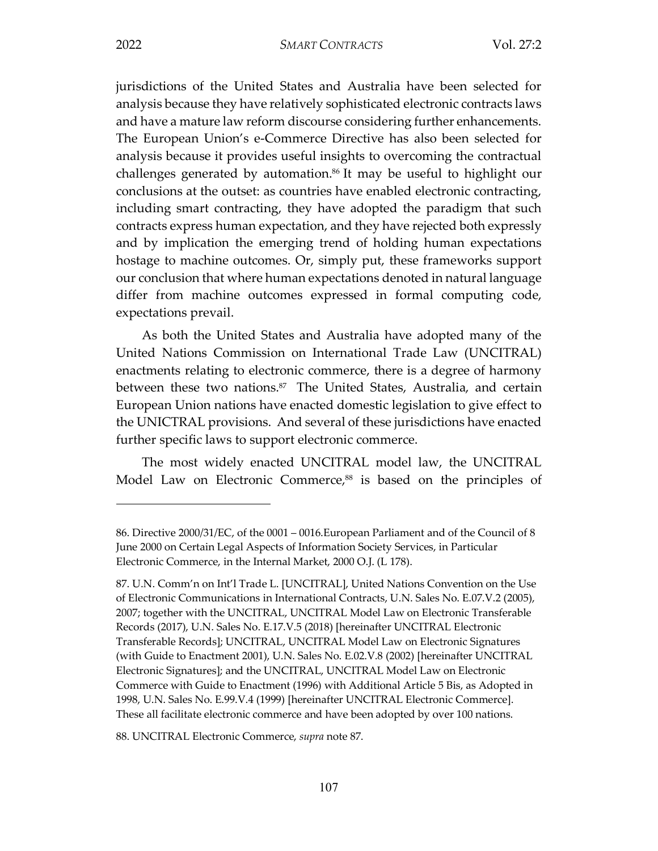jurisdictions of the United States and Australia have been selected for analysis because they have relatively sophisticated electronic contracts laws and have a mature law reform discourse considering further enhancements. The European Union's e-Commerce Directive has also been selected for analysis because it provides useful insights to overcoming the contractual challenges generated by automation.86 It may be useful to highlight our conclusions at the outset: as countries have enabled electronic contracting, including smart contracting, they have adopted the paradigm that such contracts express human expectation, and they have rejected both expressly and by implication the emerging trend of holding human expectations hostage to machine outcomes. Or, simply put, these frameworks support our conclusion that where human expectations denoted in natural language differ from machine outcomes expressed in formal computing code, expectations prevail.

As both the United States and Australia have adopted many of the United Nations Commission on International Trade Law (UNCITRAL) enactments relating to electronic commerce, there is a degree of harmony between these two nations.<sup>87</sup> The United States, Australia, and certain European Union nations have enacted domestic legislation to give effect to the UNICTRAL provisions. And several of these jurisdictions have enacted further specific laws to support electronic commerce.

The most widely enacted UNCITRAL model law, the UNCITRAL Model Law on Electronic Commerce,<sup>88</sup> is based on the principles of

88. UNCITRAL Electronic Commerce, *supra* note 87.

<sup>86.</sup> Directive 2000/31/EC, of the 0001 – 0016.European Parliament and of the Council of 8 June 2000 on Certain Legal Aspects of Information Society Services, in Particular Electronic Commerce, in the Internal Market, 2000 O.J. (L 178).

<sup>87.</sup> U.N. Comm'n on Int'l Trade L. [UNCITRAL], United Nations Convention on the Use of Electronic Communications in International Contracts, U.N. Sales No. E.07.V.2 (2005), 2007; together with the UNCITRAL, UNCITRAL Model Law on Electronic Transferable Records (2017), U.N. Sales No. E.17.V.5 (2018) [hereinafter UNCITRAL Electronic Transferable Records]; UNCITRAL, UNCITRAL Model Law on Electronic Signatures (with Guide to Enactment 2001), U.N. Sales No. E.02.V.8 (2002) [hereinafter UNCITRAL Electronic Signatures]; and the UNCITRAL, UNCITRAL Model Law on Electronic Commerce with Guide to Enactment (1996) with Additional Article 5 Bis, as Adopted in 1998, U.N. Sales No. E.99.V.4 (1999) [hereinafter UNCITRAL Electronic Commerce]. These all facilitate electronic commerce and have been adopted by over 100 nations.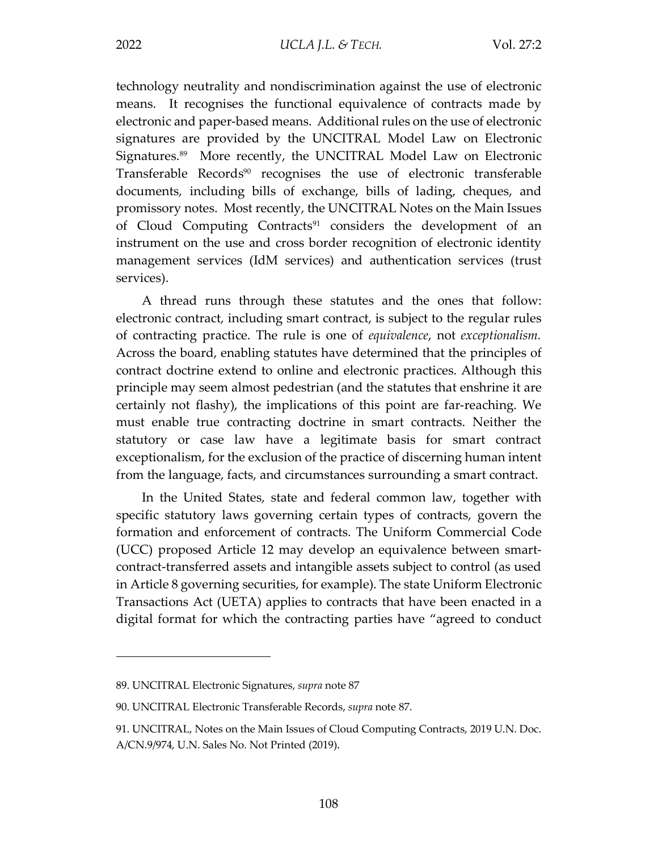technology neutrality and nondiscrimination against the use of electronic means. It recognises the functional equivalence of contracts made by electronic and paper-based means. Additional rules on the use of electronic signatures are provided by the UNCITRAL Model Law on Electronic Signatures.89 More recently, the UNCITRAL Model Law on Electronic Transferable Records<sup>90</sup> recognises the use of electronic transferable documents, including bills of exchange, bills of lading, cheques, and promissory notes. Most recently, the UNCITRAL Notes on the Main Issues of Cloud Computing Contracts<sup>91</sup> considers the development of an instrument on the use and cross border recognition of electronic identity management services (IdM services) and authentication services (trust services).

A thread runs through these statutes and the ones that follow: electronic contract, including smart contract, is subject to the regular rules of contracting practice. The rule is one of *equivalence*, not *exceptionalism.* Across the board, enabling statutes have determined that the principles of contract doctrine extend to online and electronic practices. Although this principle may seem almost pedestrian (and the statutes that enshrine it are certainly not flashy), the implications of this point are far-reaching. We must enable true contracting doctrine in smart contracts. Neither the statutory or case law have a legitimate basis for smart contract exceptionalism, for the exclusion of the practice of discerning human intent from the language, facts, and circumstances surrounding a smart contract.

In the United States, state and federal common law, together with specific statutory laws governing certain types of contracts, govern the formation and enforcement of contracts. The Uniform Commercial Code (UCC) proposed Article 12 may develop an equivalence between smartcontract-transferred assets and intangible assets subject to control (as used in Article 8 governing securities, for example). The state Uniform Electronic Transactions Act (UETA) applies to contracts that have been enacted in a digital format for which the contracting parties have "agreed to conduct

<sup>89.</sup> UNCITRAL Electronic Signatures, *supra* note 87

<sup>90.</sup> UNCITRAL Electronic Transferable Records, *supra* note 87.

<sup>91.</sup> UNCITRAL, Notes on the Main Issues of Cloud Computing Contracts, 2019 U.N. Doc. A/CN.9/974, U.N. Sales No. Not Printed (2019).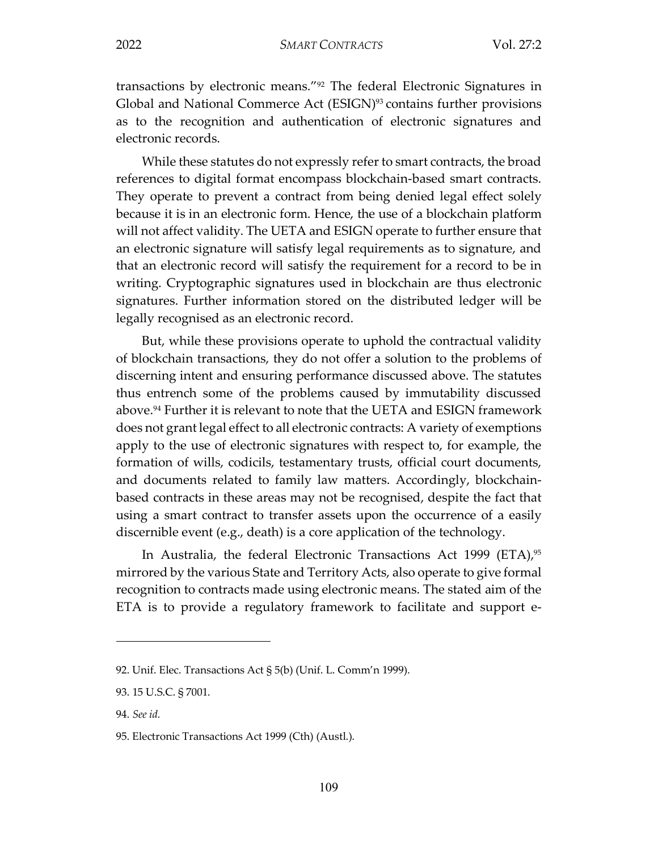transactions by electronic means."92 The federal Electronic Signatures in Global and National Commerce Act (ESIGN)<sup>93</sup> contains further provisions as to the recognition and authentication of electronic signatures and electronic records.

While these statutes do not expressly refer to smart contracts, the broad references to digital format encompass blockchain-based smart contracts. They operate to prevent a contract from being denied legal effect solely because it is in an electronic form. Hence, the use of a blockchain platform will not affect validity. The UETA and ESIGN operate to further ensure that an electronic signature will satisfy legal requirements as to signature, and that an electronic record will satisfy the requirement for a record to be in writing. Cryptographic signatures used in blockchain are thus electronic signatures. Further information stored on the distributed ledger will be legally recognised as an electronic record.

But, while these provisions operate to uphold the contractual validity of blockchain transactions, they do not offer a solution to the problems of discerning intent and ensuring performance discussed above. The statutes thus entrench some of the problems caused by immutability discussed above.94 Further it is relevant to note that the UETA and ESIGN framework does not grant legal effect to all electronic contracts: A variety of exemptions apply to the use of electronic signatures with respect to, for example, the formation of wills, codicils, testamentary trusts, official court documents, and documents related to family law matters. Accordingly, blockchainbased contracts in these areas may not be recognised, despite the fact that using a smart contract to transfer assets upon the occurrence of a easily discernible event (e.g., death) is a core application of the technology.

In Australia, the federal Electronic Transactions Act 1999 (ETA),  $95$ mirrored by the various State and Territory Acts, also operate to give formal recognition to contracts made using electronic means. The stated aim of the ETA is to provide a regulatory framework to facilitate and support e-

<sup>92.</sup> Unif. Elec. Transactions Act § 5(b) (Unif. L. Comm'n 1999).

<sup>93. 15</sup> U.S.C. § 7001.

<sup>94.</sup> *See id.* 

<sup>95.</sup> Electronic Transactions Act 1999 (Cth) (Austl.).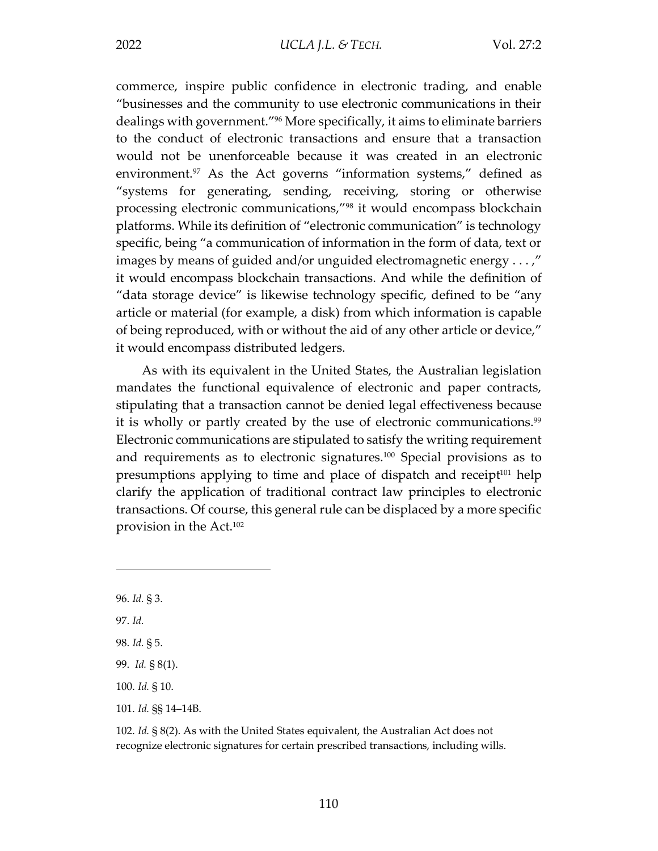commerce, inspire public confidence in electronic trading, and enable "businesses and the community to use electronic communications in their dealings with government."96 More specifically, it aims to eliminate barriers to the conduct of electronic transactions and ensure that a transaction would not be unenforceable because it was created in an electronic environment.<sup>97</sup> As the Act governs "information systems," defined as "systems for generating, sending, receiving, storing or otherwise processing electronic communications,"98 it would encompass blockchain platforms. While its definition of "electronic communication" is technology specific, being "a communication of information in the form of data, text or images by means of guided and/or unguided electromagnetic energy . . . ," it would encompass blockchain transactions. And while the definition of "data storage device" is likewise technology specific, defined to be "any article or material (for example, a disk) from which information is capable of being reproduced, with or without the aid of any other article or device," it would encompass distributed ledgers.

As with its equivalent in the United States, the Australian legislation mandates the functional equivalence of electronic and paper contracts, stipulating that a transaction cannot be denied legal effectiveness because it is wholly or partly created by the use of electronic communications.<sup>99</sup> Electronic communications are stipulated to satisfy the writing requirement and requirements as to electronic signatures.100 Special provisions as to presumptions applying to time and place of dispatch and receipt<sup>101</sup> help clarify the application of traditional contract law principles to electronic transactions. Of course, this general rule can be displaced by a more specific provision in the Act.102

 $\overline{a}$ 

101. *Id.* §§ 14–14B.

<sup>96.</sup> *Id.* § 3.

<sup>97.</sup> *Id.*

<sup>98.</sup> *Id.* § 5.

<sup>99.</sup> *Id.* § 8(1).

<sup>100.</sup> *Id.* § 10.

<sup>102.</sup> *Id.* § 8(2). As with the United States equivalent, the Australian Act does not recognize electronic signatures for certain prescribed transactions, including wills.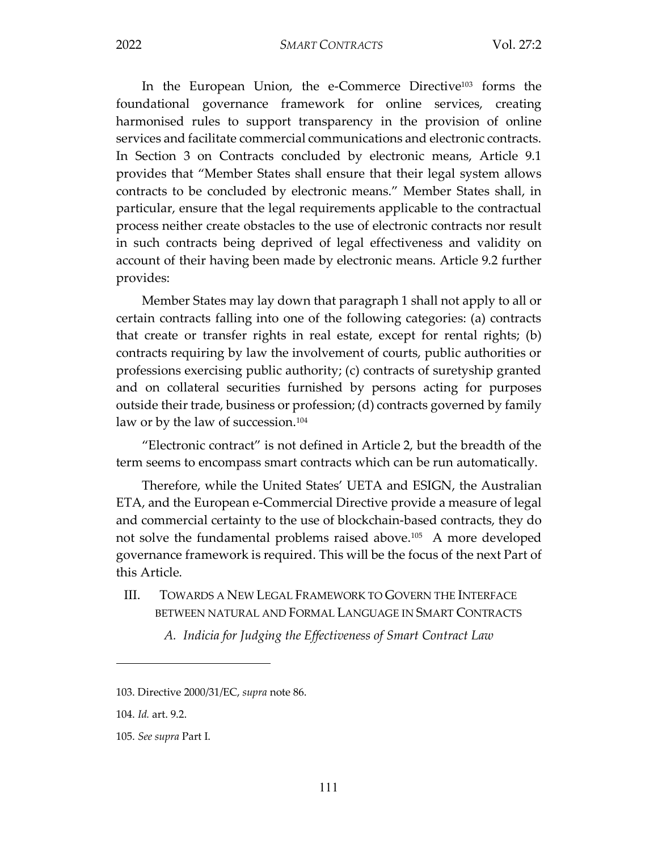2022 *SMART CONTRACTS* Vol. 27:2

In the European Union, the e-Commerce Directive<sup>103</sup> forms the foundational governance framework for online services, creating harmonised rules to support transparency in the provision of online services and facilitate commercial communications and electronic contracts. In Section 3 on Contracts concluded by electronic means, Article 9.1 provides that "Member States shall ensure that their legal system allows contracts to be concluded by electronic means." Member States shall, in particular, ensure that the legal requirements applicable to the contractual process neither create obstacles to the use of electronic contracts nor result in such contracts being deprived of legal effectiveness and validity on account of their having been made by electronic means. Article 9.2 further provides:

Member States may lay down that paragraph 1 shall not apply to all or certain contracts falling into one of the following categories: (a) contracts that create or transfer rights in real estate, except for rental rights; (b) contracts requiring by law the involvement of courts, public authorities or professions exercising public authority; (c) contracts of suretyship granted and on collateral securities furnished by persons acting for purposes outside their trade, business or profession; (d) contracts governed by family law or by the law of succession.<sup>104</sup>

"Electronic contract" is not defined in Article 2, but the breadth of the term seems to encompass smart contracts which can be run automatically.

Therefore, while the United States' UETA and ESIGN, the Australian ETA, and the European e-Commercial Directive provide a measure of legal and commercial certainty to the use of blockchain-based contracts, they do not solve the fundamental problems raised above.<sup>105</sup> A more developed governance framework is required. This will be the focus of the next Part of this Article.

- III. TOWARDS A NEW LEGAL FRAMEWORK TO GOVERN THE INTERFACE BETWEEN NATURAL AND FORMAL LANGUAGE IN SMART CONTRACTS
	- *A. Indicia for Judging the Effectiveness of Smart Contract Law*

<sup>103.</sup> Directive 2000/31/EC, *supra* note 86.

<sup>104.</sup> *Id.* art. 9.2.

<sup>105.</sup> *See supra* Part I.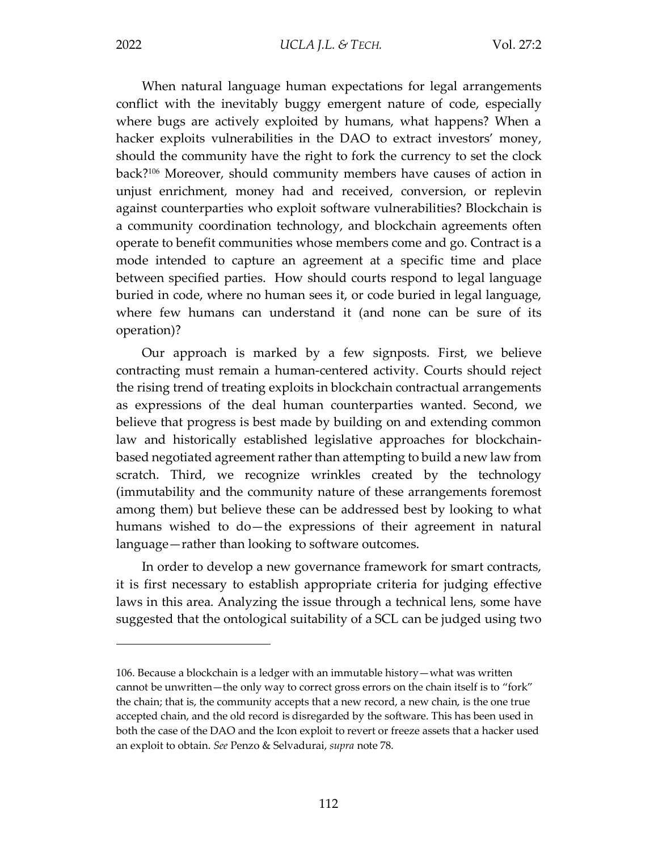$\overline{a}$ 

When natural language human expectations for legal arrangements conflict with the inevitably buggy emergent nature of code, especially where bugs are actively exploited by humans, what happens? When a hacker exploits vulnerabilities in the DAO to extract investors' money, should the community have the right to fork the currency to set the clock back?106 Moreover, should community members have causes of action in unjust enrichment, money had and received, conversion, or replevin against counterparties who exploit software vulnerabilities? Blockchain is a community coordination technology, and blockchain agreements often operate to benefit communities whose members come and go. Contract is a mode intended to capture an agreement at a specific time and place between specified parties. How should courts respond to legal language buried in code, where no human sees it, or code buried in legal language, where few humans can understand it (and none can be sure of its operation)?

Our approach is marked by a few signposts. First, we believe contracting must remain a human-centered activity. Courts should reject the rising trend of treating exploits in blockchain contractual arrangements as expressions of the deal human counterparties wanted. Second, we believe that progress is best made by building on and extending common law and historically established legislative approaches for blockchainbased negotiated agreement rather than attempting to build a new law from scratch. Third, we recognize wrinkles created by the technology (immutability and the community nature of these arrangements foremost among them) but believe these can be addressed best by looking to what humans wished to do—the expressions of their agreement in natural language—rather than looking to software outcomes.

In order to develop a new governance framework for smart contracts, it is first necessary to establish appropriate criteria for judging effective laws in this area. Analyzing the issue through a technical lens, some have suggested that the ontological suitability of a SCL can be judged using two

<sup>106.</sup> Because a blockchain is a ledger with an immutable history—what was written cannot be unwritten—the only way to correct gross errors on the chain itself is to "fork" the chain; that is, the community accepts that a new record, a new chain, is the one true accepted chain, and the old record is disregarded by the software. This has been used in both the case of the DAO and the Icon exploit to revert or freeze assets that a hacker used an exploit to obtain. *See* Penzo & Selvadurai, *supra* note 78.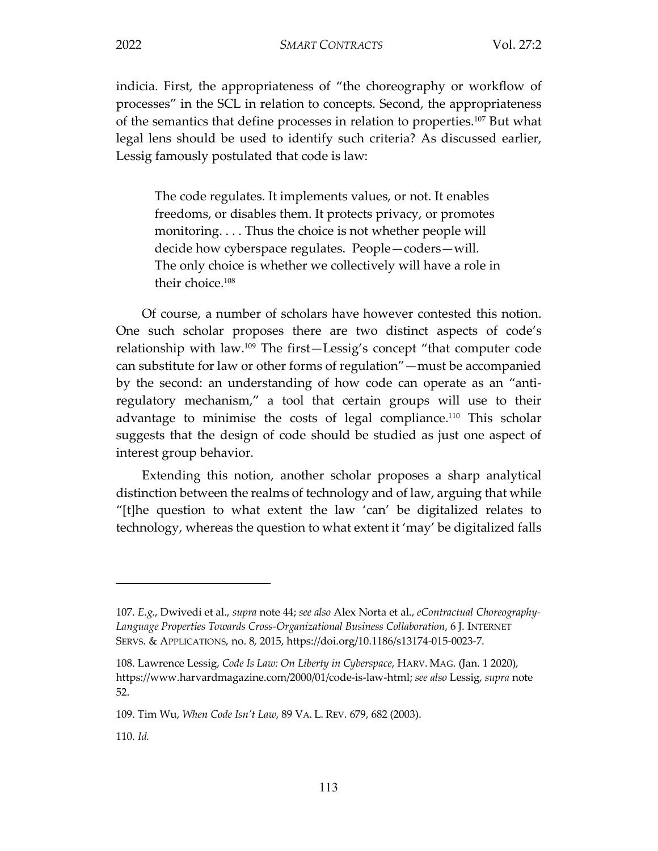indicia. First, the appropriateness of "the choreography or workflow of processes" in the SCL in relation to concepts. Second, the appropriateness of the semantics that define processes in relation to properties.107 But what legal lens should be used to identify such criteria? As discussed earlier, Lessig famously postulated that code is law:

The code regulates. It implements values, or not. It enables freedoms, or disables them. It protects privacy, or promotes monitoring. . . . Thus the choice is not whether people will decide how cyberspace regulates. People—coders—will. The only choice is whether we collectively will have a role in their choice.108

Of course, a number of scholars have however contested this notion. One such scholar proposes there are two distinct aspects of code's relationship with law.109 The first—Lessig's concept "that computer code can substitute for law or other forms of regulation"—must be accompanied by the second: an understanding of how code can operate as an "antiregulatory mechanism," a tool that certain groups will use to their advantage to minimise the costs of legal compliance.<sup>110</sup> This scholar suggests that the design of code should be studied as just one aspect of interest group behavior.

Extending this notion, another scholar proposes a sharp analytical distinction between the realms of technology and of law, arguing that while "[t]he question to what extent the law 'can' be digitalized relates to technology, whereas the question to what extent it 'may' be digitalized falls

<sup>107.</sup> *E.g.*, Dwivedi et al., *supra* note 44; *see also* Alex Norta et al., *eContractual Choreography-Language Properties Towards Cross-Organizational Business Collaboration*, 6 J. INTERNET SERVS. & APPLICATIONS, no. 8, 2015, https://doi.org/10.1186/s13174-015-0023-7.

<sup>108.</sup> Lawrence Lessig, *Code Is Law: On Liberty in Cyberspace*, HARV. MAG. (Jan. 1 2020), https://www.harvardmagazine.com/2000/01/code-is-law-html; *see also* Lessig, *supra* note 52.

<sup>109.</sup> Tim Wu, *When Code Isn't Law*, 89 VA. L. REV. 679, 682 (2003).

<sup>110.</sup> *Id.*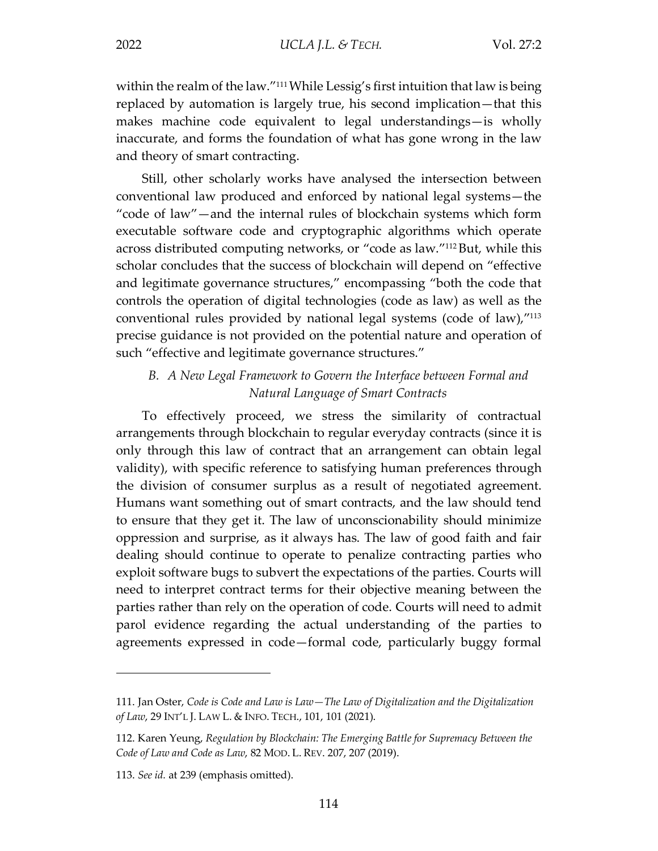within the realm of the law."<sup>111</sup> While Lessig's first intuition that law is being replaced by automation is largely true, his second implication—that this makes machine code equivalent to legal understandings—is wholly inaccurate, and forms the foundation of what has gone wrong in the law and theory of smart contracting.

Still, other scholarly works have analysed the intersection between conventional law produced and enforced by national legal systems—the "code of law"—and the internal rules of blockchain systems which form executable software code and cryptographic algorithms which operate across distributed computing networks, or "code as law."112But, while this scholar concludes that the success of blockchain will depend on "effective and legitimate governance structures," encompassing "both the code that controls the operation of digital technologies (code as law) as well as the conventional rules provided by national legal systems (code of law),"113 precise guidance is not provided on the potential nature and operation of such "effective and legitimate governance structures."

#### *B. A New Legal Framework to Govern the Interface between Formal and Natural Language of Smart Contracts*

To effectively proceed, we stress the similarity of contractual arrangements through blockchain to regular everyday contracts (since it is only through this law of contract that an arrangement can obtain legal validity), with specific reference to satisfying human preferences through the division of consumer surplus as a result of negotiated agreement. Humans want something out of smart contracts, and the law should tend to ensure that they get it. The law of unconscionability should minimize oppression and surprise, as it always has. The law of good faith and fair dealing should continue to operate to penalize contracting parties who exploit software bugs to subvert the expectations of the parties. Courts will need to interpret contract terms for their objective meaning between the parties rather than rely on the operation of code. Courts will need to admit parol evidence regarding the actual understanding of the parties to agreements expressed in code—formal code, particularly buggy formal

<sup>111.</sup> Jan Oster, *Code is Code and Law is Law—The Law of Digitalization and the Digitalization of Law*, 29 INT'L J. LAW L. & INFO. TECH., 101, 101 (2021).

<sup>112.</sup> Karen Yeung, *Regulation by Blockchain: The Emerging Battle for Supremacy Between the Code of Law and Code as Law*, 82 MOD. L. REV. 207, 207 (2019).

<sup>113.</sup> *See id.* at 239 (emphasis omitted).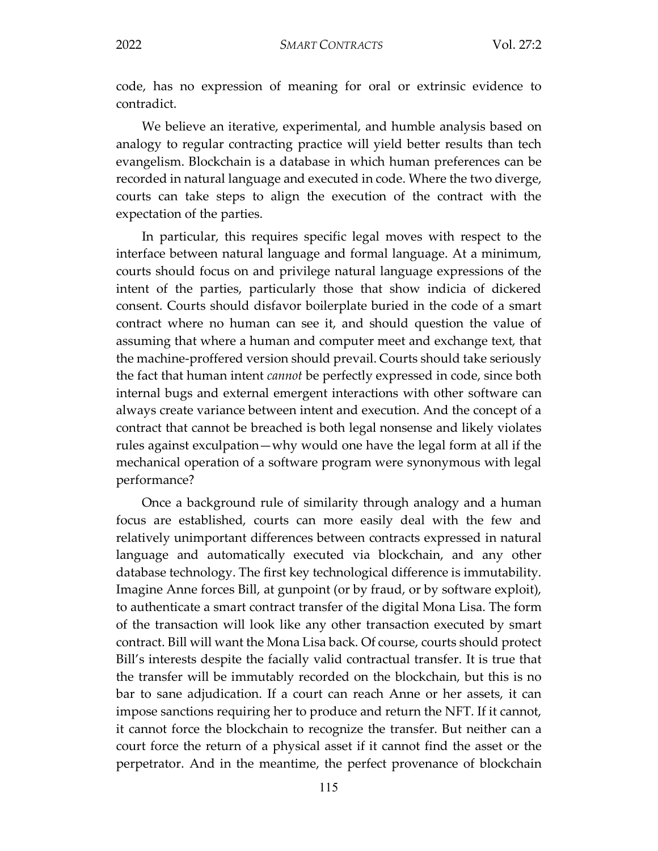code, has no expression of meaning for oral or extrinsic evidence to contradict.

We believe an iterative, experimental, and humble analysis based on analogy to regular contracting practice will yield better results than tech evangelism. Blockchain is a database in which human preferences can be recorded in natural language and executed in code. Where the two diverge, courts can take steps to align the execution of the contract with the expectation of the parties.

In particular, this requires specific legal moves with respect to the interface between natural language and formal language. At a minimum, courts should focus on and privilege natural language expressions of the intent of the parties, particularly those that show indicia of dickered consent. Courts should disfavor boilerplate buried in the code of a smart contract where no human can see it, and should question the value of assuming that where a human and computer meet and exchange text, that the machine-proffered version should prevail. Courts should take seriously the fact that human intent *cannot* be perfectly expressed in code, since both internal bugs and external emergent interactions with other software can always create variance between intent and execution. And the concept of a contract that cannot be breached is both legal nonsense and likely violates rules against exculpation—why would one have the legal form at all if the mechanical operation of a software program were synonymous with legal performance?

Once a background rule of similarity through analogy and a human focus are established, courts can more easily deal with the few and relatively unimportant differences between contracts expressed in natural language and automatically executed via blockchain, and any other database technology. The first key technological difference is immutability. Imagine Anne forces Bill, at gunpoint (or by fraud, or by software exploit), to authenticate a smart contract transfer of the digital Mona Lisa. The form of the transaction will look like any other transaction executed by smart contract. Bill will want the Mona Lisa back. Of course, courts should protect Bill's interests despite the facially valid contractual transfer. It is true that the transfer will be immutably recorded on the blockchain, but this is no bar to sane adjudication. If a court can reach Anne or her assets, it can impose sanctions requiring her to produce and return the NFT. If it cannot, it cannot force the blockchain to recognize the transfer. But neither can a court force the return of a physical asset if it cannot find the asset or the perpetrator. And in the meantime, the perfect provenance of blockchain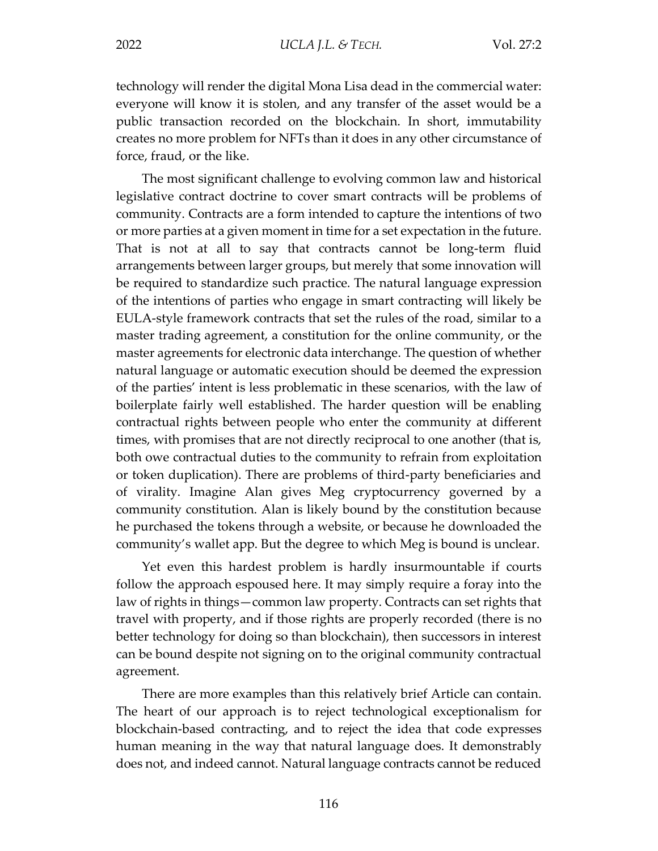technology will render the digital Mona Lisa dead in the commercial water: everyone will know it is stolen, and any transfer of the asset would be a public transaction recorded on the blockchain. In short, immutability creates no more problem for NFTs than it does in any other circumstance of force, fraud, or the like.

The most significant challenge to evolving common law and historical legislative contract doctrine to cover smart contracts will be problems of community. Contracts are a form intended to capture the intentions of two or more parties at a given moment in time for a set expectation in the future. That is not at all to say that contracts cannot be long-term fluid arrangements between larger groups, but merely that some innovation will be required to standardize such practice. The natural language expression of the intentions of parties who engage in smart contracting will likely be EULA-style framework contracts that set the rules of the road, similar to a master trading agreement, a constitution for the online community, or the master agreements for electronic data interchange. The question of whether natural language or automatic execution should be deemed the expression of the parties' intent is less problematic in these scenarios, with the law of boilerplate fairly well established. The harder question will be enabling contractual rights between people who enter the community at different times, with promises that are not directly reciprocal to one another (that is, both owe contractual duties to the community to refrain from exploitation or token duplication). There are problems of third-party beneficiaries and of virality. Imagine Alan gives Meg cryptocurrency governed by a community constitution. Alan is likely bound by the constitution because he purchased the tokens through a website, or because he downloaded the community's wallet app. But the degree to which Meg is bound is unclear.

Yet even this hardest problem is hardly insurmountable if courts follow the approach espoused here. It may simply require a foray into the law of rights in things—common law property. Contracts can set rights that travel with property, and if those rights are properly recorded (there is no better technology for doing so than blockchain), then successors in interest can be bound despite not signing on to the original community contractual agreement.

There are more examples than this relatively brief Article can contain. The heart of our approach is to reject technological exceptionalism for blockchain-based contracting, and to reject the idea that code expresses human meaning in the way that natural language does. It demonstrably does not, and indeed cannot. Natural language contracts cannot be reduced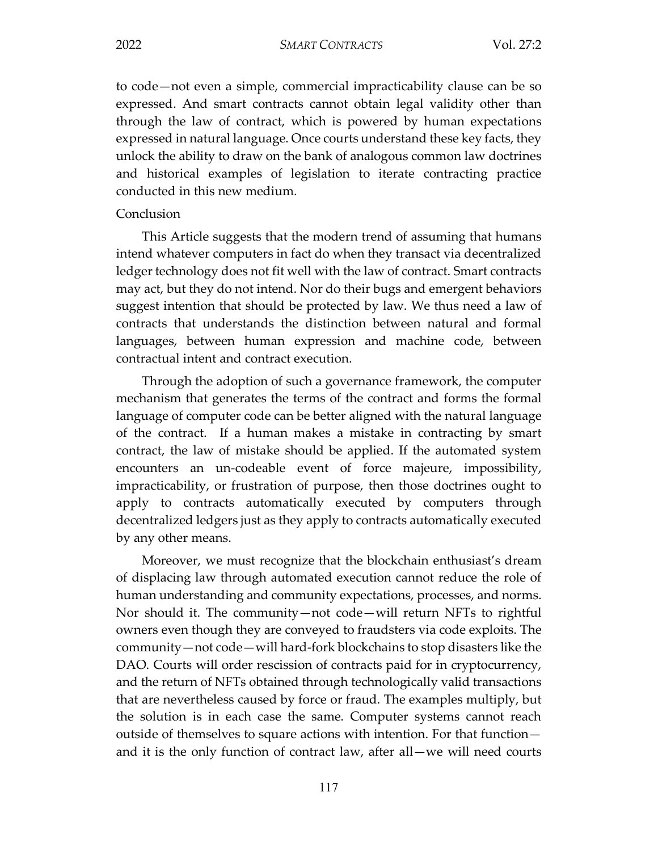to code—not even a simple, commercial impracticability clause can be so expressed. And smart contracts cannot obtain legal validity other than through the law of contract, which is powered by human expectations expressed in natural language. Once courts understand these key facts, they unlock the ability to draw on the bank of analogous common law doctrines and historical examples of legislation to iterate contracting practice conducted in this new medium.

#### Conclusion

This Article suggests that the modern trend of assuming that humans intend whatever computers in fact do when they transact via decentralized ledger technology does not fit well with the law of contract. Smart contracts may act, but they do not intend. Nor do their bugs and emergent behaviors suggest intention that should be protected by law. We thus need a law of contracts that understands the distinction between natural and formal languages, between human expression and machine code, between contractual intent and contract execution.

Through the adoption of such a governance framework, the computer mechanism that generates the terms of the contract and forms the formal language of computer code can be better aligned with the natural language of the contract. If a human makes a mistake in contracting by smart contract, the law of mistake should be applied. If the automated system encounters an un-codeable event of force majeure, impossibility, impracticability, or frustration of purpose, then those doctrines ought to apply to contracts automatically executed by computers through decentralized ledgers just as they apply to contracts automatically executed by any other means.

Moreover, we must recognize that the blockchain enthusiast's dream of displacing law through automated execution cannot reduce the role of human understanding and community expectations, processes, and norms. Nor should it. The community—not code—will return NFTs to rightful owners even though they are conveyed to fraudsters via code exploits. The community—not code—will hard-fork blockchains to stop disasters like the DAO. Courts will order rescission of contracts paid for in cryptocurrency, and the return of NFTs obtained through technologically valid transactions that are nevertheless caused by force or fraud. The examples multiply, but the solution is in each case the same. Computer systems cannot reach outside of themselves to square actions with intention. For that function and it is the only function of contract law, after all—we will need courts